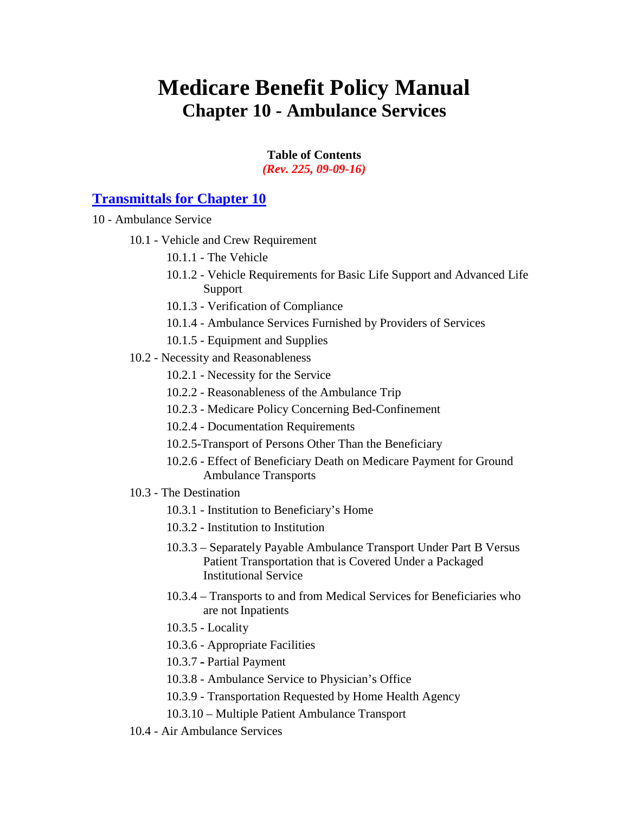# <span id="page-0-0"></span>**Medicare Benefit Policy Manual Chapter 10 - Ambulance Services**

**Table of Contents** *(Rev. 225, 09-09-16)*

# **[Transmittals for Chapter 10](#page-31-0)**

10 - [Ambulance Service](#page-2-0)

- 10.1 [Vehicle and Crew Requirement](#page-2-1)
	- 10.1.1 [The Vehicle](#page-2-2)
	- 10.1.2 [Vehicle Requirements for Basic Life Support and Advanced Life](#page-2-3)  [Support](#page-2-3)
	- 10.1.3 [Verification of Compliance](#page-3-0)
	- 10.1.4 [Ambulance Services Furnished by Providers of Services](#page-3-1)
	- 10.1.5 [Equipment and Supplies](#page-4-0)
- 10.2 [Necessity and Reasonableness](#page-4-1)
	- 10.2.1 [Necessity for the Service](#page-4-2)
	- 10.2.2 [Reasonableness of the Ambulance Trip](#page-5-0)
	- 10.2.3 [Medicare Policy Concerning Bed-Confinement](#page-5-1)
	- 10.2.4 [Documentation Requirements](#page-5-2)
	- [10.2.5-Transport of Persons Other Than the Beneficiary](#page-5-3)
	- 10.2.6 [Effect of Beneficiary Death on Medicare Payment for Ground](#page-6-0)  [Ambulance Transports](#page-6-0)
- 10.3 [The Destination](#page-6-1)
	- 10.3.1 [Institution to Beneficiary's Home](#page-7-0)
	- 10.3.2 [Institution to Institution](#page-7-1)
	- 10.3.3 [Separately Payable Ambulance Transport Under Part B Versus](#page-8-0)  [Patient Transportation that is Covered Under a Packaged](#page-8-0)  [Institutional](#page-8-0) Service
	- 10.3.4 [Transports to and from Medical Services for Beneficiaries who](#page-10-0)  [are not Inpatients](#page-10-0)
	- 10.3.5 [Locality](#page-10-1)
	- 10.3.6 [Appropriate Facilities](#page-10-2)
	- 10.3.7 [Partial Payment](#page-11-0)
	- 10.3.8 [Ambulance Service to Physician's Office](#page-11-1)
	- 10.3.9 [Transportation Requested by Home Health Agency](#page-12-0)
	- 10.3.10 [Multiple Patient Ambulance Transport](#page-12-1)
- 10.4 [Air Ambulance Services](#page-12-2)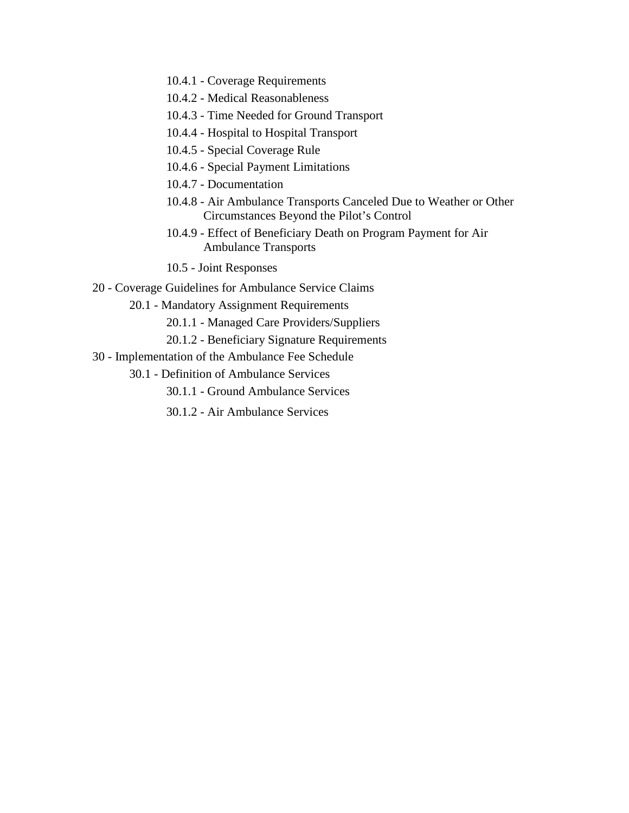- 10.4.1 [Coverage Requirements](#page-13-0)
- 10.4.2 [Medical Reasonableness](#page-14-0)
- 10.4.3 [Time Needed for Ground Transport](#page-14-1)
- 10.4.4 [Hospital to Hospital Transport](#page-15-0)
- 10.4.5 [Special Coverage Rule](#page-15-1)
- 10.4.6 [Special Payment Limitations](#page-15-2)
- 10.4.7 [Documentation](#page-15-3)
- 10.4.8 [Air Ambulance Transports Canceled Due to Weather or Other](#page-16-0)  [Circumstances Beyond the Pilot's Control](#page-16-0)
- 10.4.9 [Effect of Beneficiary Death on Program Payment for Air](#page-16-1)  [Ambulance Transports](#page-16-1)

10.5 - [Joint Responses](#page-17-0)

- 20 [Coverage Guidelines for Ambulance Service Claims](#page-18-0)
	- 20.1 [Mandatory Assignment Requirements](#page-20-0)
		- 20.1.1 [Managed Care Providers/Suppliers](#page-21-0)
		- 20.1.2 [Beneficiary Signature Requirements](#page-21-1)
- <span id="page-1-0"></span>30 - [Implementation of the Ambulance Fee Schedule](#page-22-0)
	- 30.1 Definition [of Ambulance Services](#page-22-1)
		- 30.1.1 [Ground Ambulance Services](#page-23-0)
		- 30.1.2 [Air Ambulance Services](#page-29-0)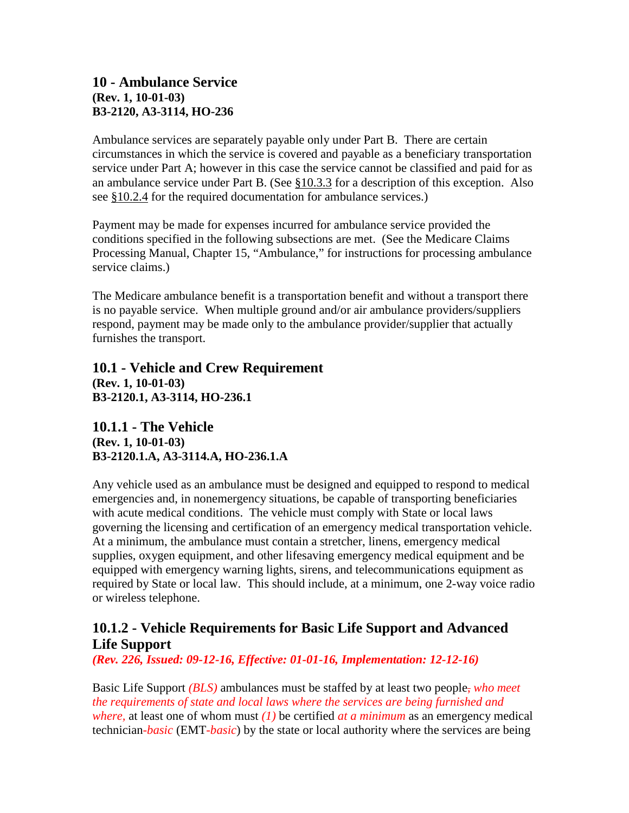## <span id="page-2-0"></span>**10 - Ambulance Service (Rev. 1, 10-01-03) B3-2120, A3-3114, HO-236**

Ambulance services are separately payable only under Part B. There are certain circumstances in which the service is covered and payable as a beneficiary transportation service under Part A; however in this case the service cannot be classified and paid for as an ambulance service under Part B. (See [§10.3.3](#page-4-1) for a description of this exception. Also see [§10.2.4](#page-5-2) for the required documentation for ambulance services.)

Payment may be made for expenses incurred for ambulance service provided the conditions specified in the following subsections are met. (See the Medicare Claims Processing Manual, Chapter 15, "Ambulance," for instructions for processing ambulance service claims.)

The Medicare ambulance benefit is a transportation benefit and without a transport there is no payable service. When multiple ground and/or air ambulance providers/suppliers respond, payment may be made only to the ambulance provider/supplier that actually furnishes the transport.

<span id="page-2-1"></span>**10.1 - Vehicle and Crew Requirement (Rev. 1, 10-01-03) B3-2120.1, A3-3114, HO-236.1**

<span id="page-2-2"></span>**10.1.1 - The Vehicle (Rev. 1, 10-01-03) B3-2120.1.A, A3-3114.A, HO-236.1.A**

Any vehicle used as an ambulance must be designed and equipped to respond to medical emergencies and, in nonemergency situations, be capable of transporting beneficiaries with acute medical conditions. The vehicle must comply with State or local laws governing the licensing and certification of an emergency medical transportation vehicle. At a minimum, the ambulance must contain a stretcher, linens, emergency medical supplies, oxygen equipment, and other lifesaving emergency medical equipment and be equipped with emergency warning lights, sirens, and telecommunications equipment as required by State or local law. This should include, at a minimum, one 2-way voice radio or wireless telephone.

# <span id="page-2-3"></span>**10.1.2 - Vehicle Requirements for Basic Life Support and Advanced Life Support**

*(Rev. 226, Issued: 09-12-16, Effective: 01-01-16, Implementation: 12-12-16)*

Basic Life Support *(BLS)* ambulances must be staffed by at least two people, *who meet the requirements of state and local laws where the services are being furnished and where,* at least one of whom must *(1)* be certified *at a minimum* as an emergency medical technician*-basic* (EMT*-basic*) by the state or local authority where the services are being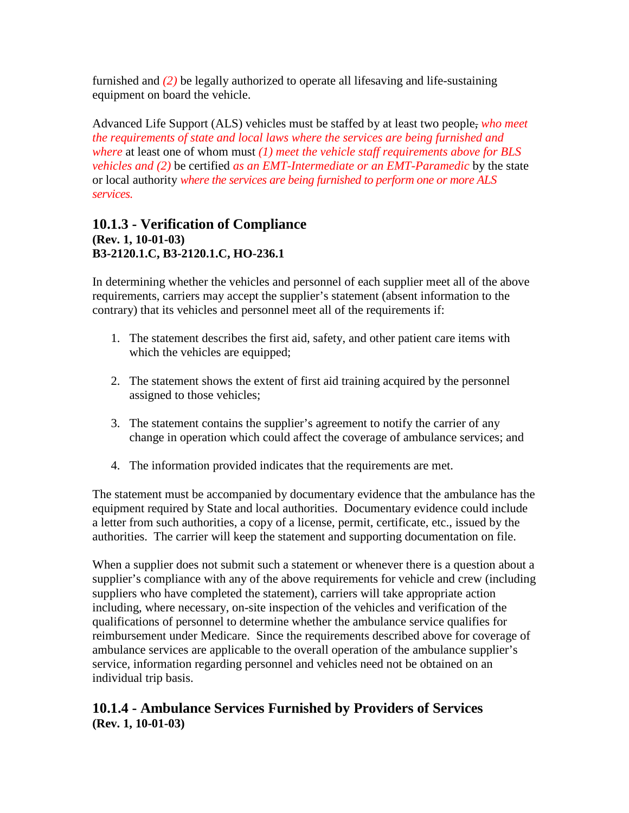furnished and *(2)* be legally authorized to operate all lifesaving and life-sustaining equipment on board the vehicle.

Advanced Life Support (ALS) vehicles must be staffed by at least two people*, who meet the requirements of state and local laws where the services are being furnished and where* at least one of whom must *(1) meet the vehicle staff requirements above for BLS vehicles and (2)* be certified *as an EMT-Intermediate or an EMT-Paramedic* by the state or local authority *where the services are being furnished to perform one or more ALS services.*

# <span id="page-3-0"></span>**10.1.3 - Verification of Compliance (Rev. 1, 10-01-03) B3-2120.1.C, B3-2120.1.C, HO-236.1**

In determining whether the vehicles and personnel of each supplier meet all of the above requirements, carriers may accept the supplier's statement (absent information to the contrary) that its vehicles and personnel meet all of the requirements if:

- 1. The statement describes the first aid, safety, and other patient care items with which the vehicles are equipped;
- 2. The statement shows the extent of first aid training acquired by the personnel assigned to those vehicles;
- 3. The statement contains the supplier's agreement to notify the carrier of any change in operation which could affect the coverage of ambulance services; and
- 4. The information provided indicates that the requirements are met.

The statement must be accompanied by documentary evidence that the ambulance has the equipment required by State and local authorities. Documentary evidence could include a letter from such authorities, a copy of a license, permit, certificate, etc., issued by the authorities. The carrier will keep the statement and supporting documentation on file.

When a supplier does not submit such a statement or whenever there is a question about a supplier's compliance with any of the above requirements for vehicle and crew (including suppliers who have completed the statement), carriers will take appropriate action including, where necessary, on-site inspection of the vehicles and verification of the qualifications of personnel to determine whether the ambulance service qualifies for reimbursement under Medicare. Since the requirements described above for coverage of ambulance services are applicable to the overall operation of the ambulance supplier's service, information regarding personnel and vehicles need not be obtained on an individual trip basis.

# <span id="page-3-1"></span>**10.1.4 - Ambulance Services Furnished by Providers of Services (Rev. 1, 10-01-03)**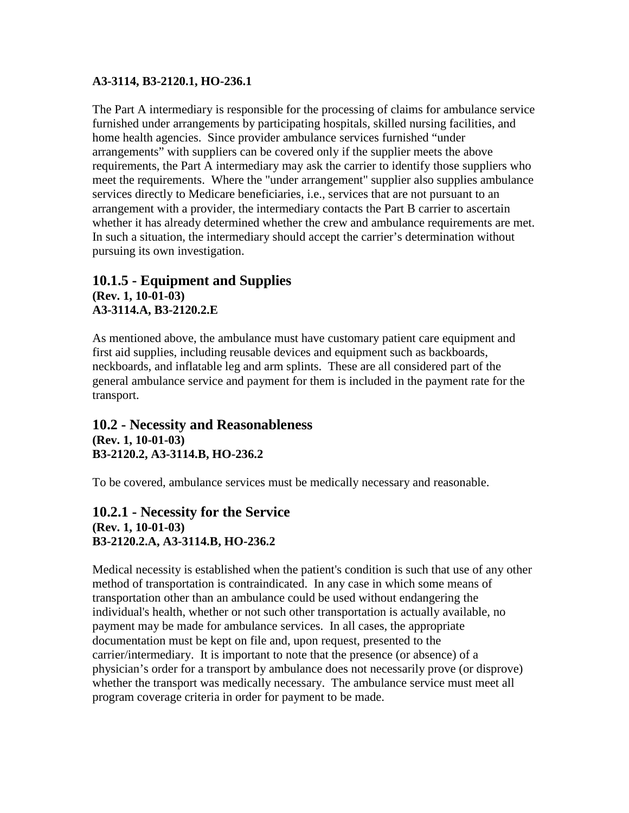#### **A3-3114, B3-2120.1, HO-236.1**

The Part A intermediary is responsible for the processing of claims for ambulance service furnished under arrangements by participating hospitals, skilled nursing facilities, and home health agencies. Since provider ambulance services furnished "under arrangements" with suppliers can be covered only if the supplier meets the above requirements, the Part A intermediary may ask the carrier to identify those suppliers who meet the requirements. Where the "under arrangement" supplier also supplies ambulance services directly to Medicare beneficiaries, i.e., services that are not pursuant to an arrangement with a provider, the intermediary contacts the Part B carrier to ascertain whether it has already determined whether the crew and ambulance requirements are met. In such a situation, the intermediary should accept the carrier's determination without pursuing its own investigation.

# <span id="page-4-0"></span>**10.1.5 - Equipment and Supplies (Rev. 1, 10-01-03) A3-3114.A, B3-2120.2.E**

As mentioned above, the ambulance must have customary patient care equipment and first aid supplies, including reusable devices and equipment such as backboards, neckboards, and inflatable leg and arm splints. These are all considered part of the general ambulance service and payment for them is included in the payment rate for the transport.

## <span id="page-4-1"></span>**10.2 - Necessity and Reasonableness (Rev. 1, 10-01-03) B3-2120.2, A3-3114.B, HO-236.2**

To be covered, ambulance services must be medically necessary and reasonable.

# <span id="page-4-2"></span>**10.2.1 - Necessity for the Service (Rev. 1, 10-01-03) B3-2120.2.A, A3-3114.B, HO-236.2**

Medical necessity is established when the patient's condition is such that use of any other method of transportation is contraindicated. In any case in which some means of transportation other than an ambulance could be used without endangering the individual's health, whether or not such other transportation is actually available, no payment may be made for ambulance services. In all cases, the appropriate documentation must be kept on file and, upon request, presented to the carrier/intermediary. It is important to note that the presence (or absence) of a physician's order for a transport by ambulance does not necessarily prove (or disprove) whether the transport was medically necessary. The ambulance service must meet all program coverage criteria in order for payment to be made.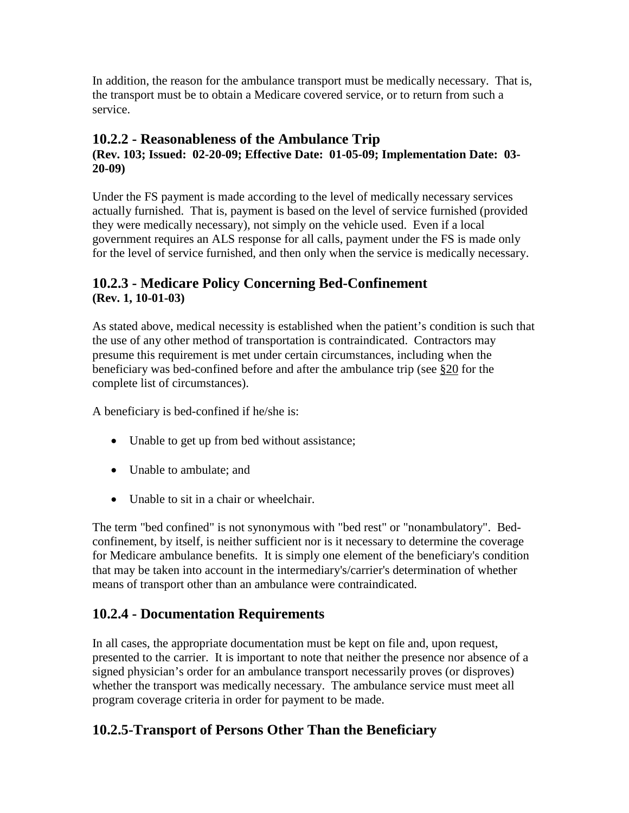In addition, the reason for the ambulance transport must be medically necessary. That is, the transport must be to obtain a Medicare covered service, or to return from such a service.

# <span id="page-5-0"></span>**10.2.2 - Reasonableness of the Ambulance Trip (Rev. 103; Issued: 02-20-09; Effective Date: 01-05-09; Implementation Date: 03- 20-09)**

Under the FS payment is made according to the level of medically necessary services actually furnished. That is, payment is based on the level of service furnished (provided they were medically necessary), not simply on the vehicle used. Even if a local government requires an ALS response for all calls, payment under the FS is made only for the level of service furnished, and then only when the service is medically necessary.

# <span id="page-5-1"></span>**10.2.3 - Medicare Policy Concerning Bed-Confinement (Rev. 1, 10-01-03)**

As stated above, medical necessity is established when the patient's condition is such that the use of any other method of transportation is contraindicated. Contractors may presume this requirement is met under certain circumstances, including when the beneficiary was bed-confined before and after the ambulance trip (see [§20](#page-16-2) for the complete list of circumstances).

A beneficiary is bed-confined if he/she is:

- Unable to get up from bed without assistance;
- Unable to ambulate; and
- Unable to sit in a chair or wheelchair.

The term "bed confined" is not synonymous with "bed rest" or "nonambulatory". Bedconfinement, by itself, is neither sufficient nor is it necessary to determine the coverage for Medicare ambulance benefits. It is simply one element of the beneficiary's condition that may be taken into account in the intermediary's/carrier's determination of whether means of transport other than an ambulance were contraindicated.

# <span id="page-5-2"></span>**10.2.4 - Documentation Requirements**

In all cases, the appropriate documentation must be kept on file and, upon request, presented to the carrier. It is important to note that neither the presence nor absence of a signed physician's order for an ambulance transport necessarily proves (or disproves) whether the transport was medically necessary. The ambulance service must meet all program coverage criteria in order for payment to be made.

# <span id="page-5-3"></span>**10.2.5-Transport of Persons Other Than the Beneficiary**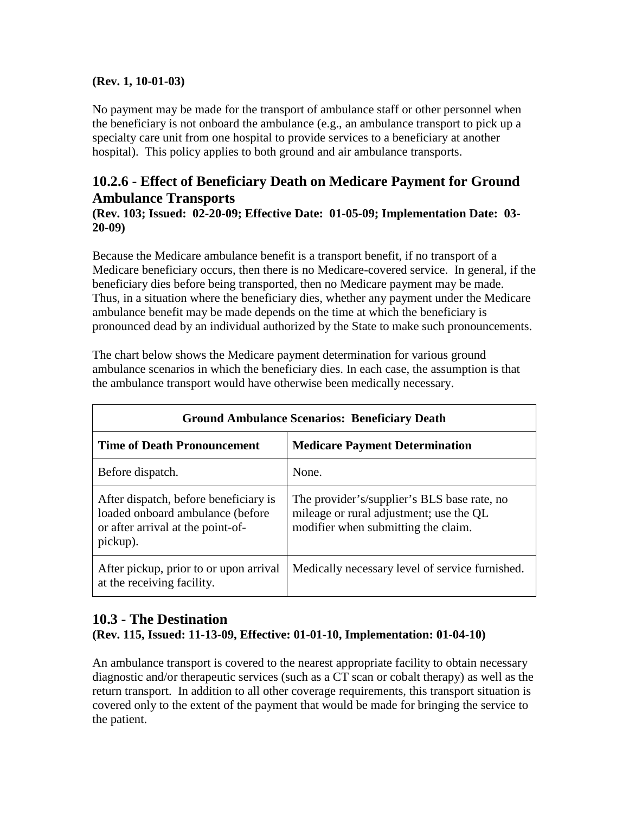#### **(Rev. 1, 10-01-03)**

No payment may be made for the transport of ambulance staff or other personnel when the beneficiary is not onboard the ambulance (e.g., an ambulance transport to pick up a specialty care unit from one hospital to provide services to a beneficiary at another hospital). This policy applies to both ground and air ambulance transports.

# <span id="page-6-0"></span>**10.2.6 - Effect of Beneficiary Death on Medicare Payment for Ground Ambulance Transports**

#### <span id="page-6-2"></span>**(Rev. 103; Issued: 02-20-09; Effective Date: 01-05-09; Implementation Date: 03- 20-09)**

Because the Medicare ambulance benefit is a transport benefit, if no transport of a Medicare beneficiary occurs, then there is no Medicare-covered service. In general, if the beneficiary dies before being transported, then no Medicare payment may be made. Thus, in a situation where the beneficiary dies, whether any payment under the Medicare ambulance benefit may be made depends on the time at which the beneficiary is pronounced dead by an individual authorized by the State to make such pronouncements.

The chart below shows the Medicare payment determination for various ground ambulance scenarios in which the beneficiary dies. In each case, the assumption is that the ambulance transport would have otherwise been medically necessary.

| <b>Ground Ambulance Scenarios: Beneficiary Death</b>                                                                       |                                                                                                                               |  |  |
|----------------------------------------------------------------------------------------------------------------------------|-------------------------------------------------------------------------------------------------------------------------------|--|--|
| <b>Time of Death Pronouncement</b>                                                                                         | <b>Medicare Payment Determination</b>                                                                                         |  |  |
| Before dispatch.                                                                                                           | None.                                                                                                                         |  |  |
| After dispatch, before beneficiary is<br>loaded onboard ambulance (before<br>or after arrival at the point-of-<br>pickup). | The provider's/supplier's BLS base rate, no<br>mileage or rural adjustment; use the QL<br>modifier when submitting the claim. |  |  |
| After pickup, prior to or upon arrival<br>at the receiving facility.                                                       | Medically necessary level of service furnished.                                                                               |  |  |

# <span id="page-6-1"></span>**10.3 - The Destination**

### **(Rev. 115, Issued: 11-13-09, Effective: 01-01-10, Implementation: 01-04-10)**

An ambulance transport is covered to the nearest appropriate facility to obtain necessary diagnostic and/or therapeutic services (such as a CT scan or cobalt therapy) as well as the return transport. In addition to all other coverage requirements, this transport situation is covered only to the extent of the payment that would be made for bringing the service to the patient.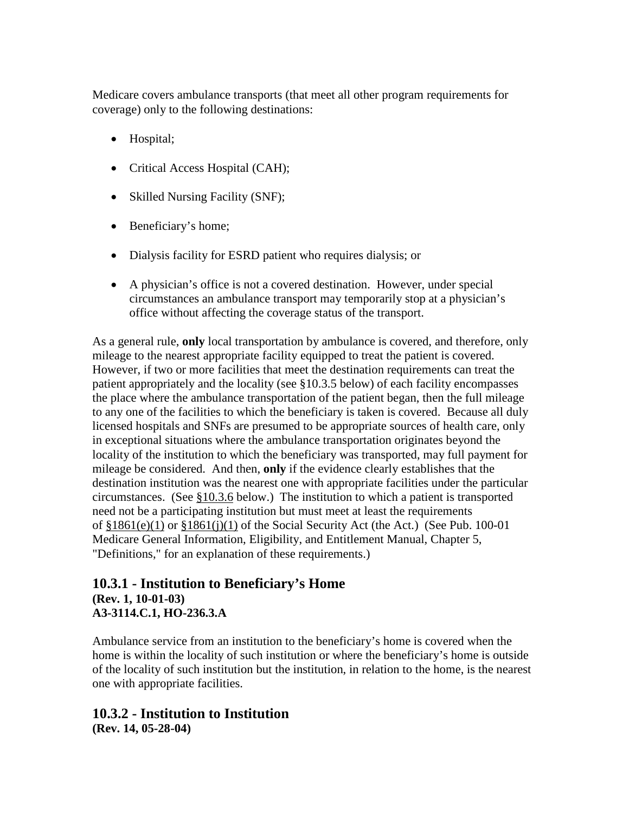Medicare covers ambulance transports (that meet all other program requirements for coverage) only to the following destinations:

- Hospital;
- Critical Access Hospital (CAH);
- Skilled Nursing Facility (SNF);
- Beneficiary's home;
- Dialysis facility for ESRD patient who requires dialysis; or
- A physician's office is not a covered destination. However, under special circumstances an ambulance transport may temporarily stop at a physician's office without affecting the coverage status of the transport.

As a general rule, **only** local transportation by ambulance is covered, and therefore, only mileage to the nearest appropriate facility equipped to treat the patient is covered. However, if two or more facilities that meet the destination requirements can treat the patient appropriately and the locality (see §10.3.5 below) of each facility encompasses the place where the ambulance transportation of the patient began, then the full mileage to any one of the facilities to which the beneficiary is taken is covered. Because all duly licensed hospitals and SNFs are presumed to be appropriate sources of health care, only in exceptional situations where the ambulance transportation originates beyond the locality of the institution to which the beneficiary was transported, may full payment for mileage be considered. And then, **only** if the evidence clearly establishes that the destination institution was the nearest one with appropriate facilities under the particular circumstances. (See [§10.3.6](#page-10-2) below.) The institution to which a patient is transported need not be a participating institution but must meet at least the requirements of [§1861\(e\)\(1\)](http://www.ssa.gov/OP_Home/ssact/title18/1861.htm#e) or [§1861\(j\)\(1\)](http://www.ssa.gov/OP_Home/ssact/title18/1861.htm) of the Social Security Act (the Act.) (See Pub. 100-01 Medicare General Information, Eligibility, and Entitlement Manual, Chapter 5, "Definitions," for an explanation of these requirements.)

# <span id="page-7-0"></span>**10.3.1 - Institution to Beneficiary's Home (Rev. 1, 10-01-03) A3-3114.C.1, HO-236.3.A**

Ambulance service from an institution to the beneficiary's home is covered when the home is within the locality of such institution or where the beneficiary's home is outside of the locality of such institution but the institution, in relation to the home, is the nearest one with appropriate facilities.

# <span id="page-7-1"></span>**10.3.2 - Institution to Institution (Rev. 14, 05-28-04)**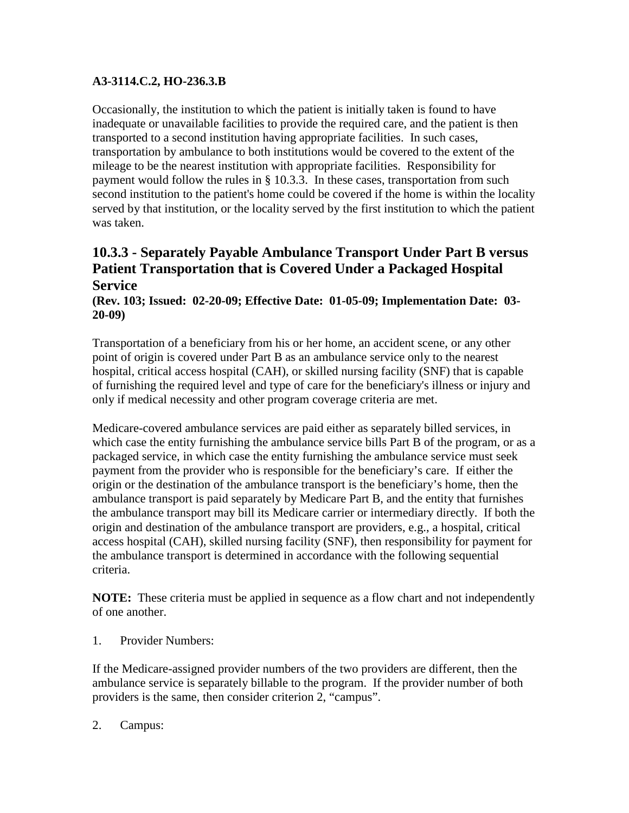## **A3-3114.C.2, HO-236.3.B**

Occasionally, the institution to which the patient is initially taken is found to have inadequate or unavailable facilities to provide the required care, and the patient is then transported to a second institution having appropriate facilities. In such cases, transportation by ambulance to both institutions would be covered to the extent of the mileage to be the nearest institution with appropriate facilities. Responsibility for payment would follow the rules in § 10.3.3. In these cases, transportation from such second institution to the patient's home could be covered if the home is within the locality served by that institution, or the locality served by the first institution to which the patient was taken.

# <span id="page-8-0"></span>**10.3.3 - Separately Payable Ambulance Transport Under Part B versus Patient Transportation that is Covered Under a Packaged Hospital Service**

### **(Rev. 103; Issued: 02-20-09; Effective Date: 01-05-09; Implementation Date: 03- 20-09)**

Transportation of a beneficiary from his or her home, an accident scene, or any other point of origin is covered under Part B as an ambulance service only to the nearest hospital, critical access hospital (CAH), or skilled nursing facility (SNF) that is capable of furnishing the required level and type of care for the beneficiary's illness or injury and only if medical necessity and other program coverage criteria are met.

Medicare-covered ambulance services are paid either as separately billed services, in which case the entity furnishing the ambulance service bills Part B of the program, or as a packaged service, in which case the entity furnishing the ambulance service must seek payment from the provider who is responsible for the beneficiary's care. If either the origin or the destination of the ambulance transport is the beneficiary's home, then the ambulance transport is paid separately by Medicare Part B, and the entity that furnishes the ambulance transport may bill its Medicare carrier or intermediary directly. If both the origin and destination of the ambulance transport are providers, e.g., a hospital, critical access hospital (CAH), skilled nursing facility (SNF), then responsibility for payment for the ambulance transport is determined in accordance with the following sequential criteria.

**NOTE:** These criteria must be applied in sequence as a flow chart and not independently of one another.

1. Provider Numbers:

If the Medicare-assigned provider numbers of the two providers are different, then the ambulance service is separately billable to the program. If the provider number of both providers is the same, then consider criterion 2, "campus".

2. Campus: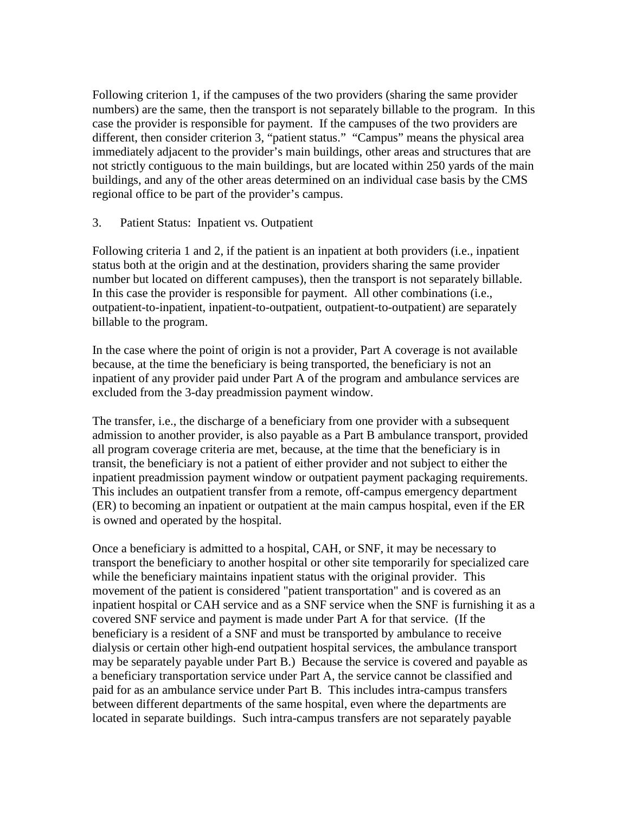Following criterion 1, if the campuses of the two providers (sharing the same provider numbers) are the same, then the transport is not separately billable to the program. In this case the provider is responsible for payment. If the campuses of the two providers are different, then consider criterion 3, "patient status." "Campus" means the physical area immediately adjacent to the provider's main buildings, other areas and structures that are not strictly contiguous to the main buildings, but are located within 250 yards of the main buildings, and any of the other areas determined on an individual case basis by the CMS regional office to be part of the provider's campus.

#### 3. Patient Status: Inpatient vs. Outpatient

Following criteria 1 and 2, if the patient is an inpatient at both providers (i.e., inpatient status both at the origin and at the destination, providers sharing the same provider number but located on different campuses), then the transport is not separately billable. In this case the provider is responsible for payment. All other combinations (i.e., outpatient-to-inpatient, inpatient-to-outpatient, outpatient-to-outpatient) are separately billable to the program.

In the case where the point of origin is not a provider, Part A coverage is not available because, at the time the beneficiary is being transported, the beneficiary is not an inpatient of any provider paid under Part A of the program and ambulance services are excluded from the 3-day preadmission payment window.

The transfer, i.e., the discharge of a beneficiary from one provider with a subsequent admission to another provider, is also payable as a Part B ambulance transport, provided all program coverage criteria are met, because, at the time that the beneficiary is in transit, the beneficiary is not a patient of either provider and not subject to either the inpatient preadmission payment window or outpatient payment packaging requirements. This includes an outpatient transfer from a remote, off-campus emergency department (ER) to becoming an inpatient or outpatient at the main campus hospital, even if the ER is owned and operated by the hospital.

Once a beneficiary is admitted to a hospital, CAH, or SNF, it may be necessary to transport the beneficiary to another hospital or other site temporarily for specialized care while the beneficiary maintains inpatient status with the original provider. This movement of the patient is considered "patient transportation" and is covered as an inpatient hospital or CAH service and as a SNF service when the SNF is furnishing it as a covered SNF service and payment is made under Part A for that service. (If the beneficiary is a resident of a SNF and must be transported by ambulance to receive dialysis or certain other high-end outpatient hospital services, the ambulance transport may be separately payable under Part B.) Because the service is covered and payable as a beneficiary transportation service under Part A, the service cannot be classified and paid for as an ambulance service under Part B. This includes intra-campus transfers between different departments of the same hospital, even where the departments are located in separate buildings. Such intra-campus transfers are not separately payable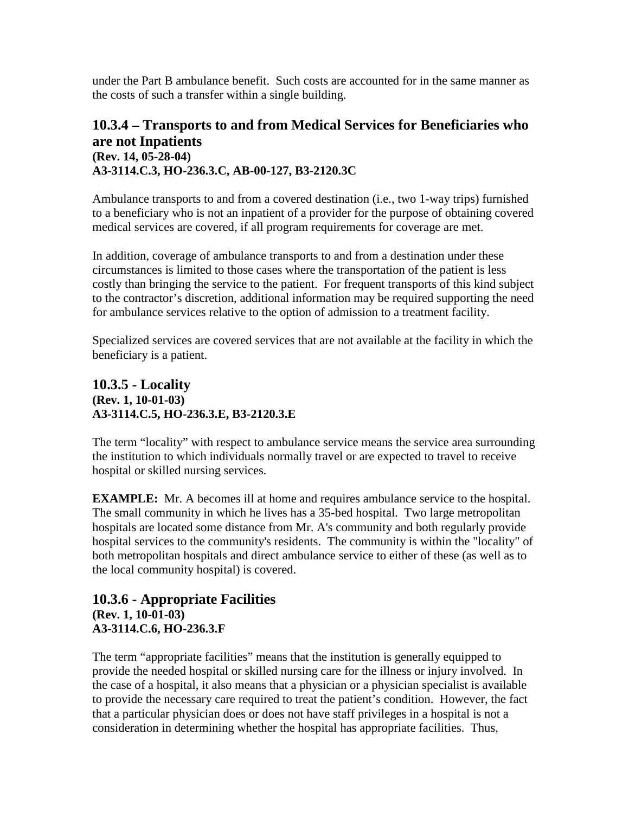under the Part B ambulance benefit. Such costs are accounted for in the same manner as the costs of such a transfer within a single building.

# <span id="page-10-0"></span>**10.3.4 – Transports to and from Medical Services for Beneficiaries who are not Inpatients (Rev. 14, 05-28-04) A3-3114.C.3, HO-236.3.C, AB-00-127, B3-2120.3C**

Ambulance transports to and from a covered destination (i.e., two 1-way trips) furnished to a beneficiary who is not an inpatient of a provider for the purpose of obtaining covered medical services are covered, if all program requirements for coverage are met.

In addition, coverage of ambulance transports to and from a destination under these circumstances is limited to those cases where the transportation of the patient is less costly than bringing the service to the patient. For frequent transports of this kind subject to the contractor's discretion, additional information may be required supporting the need for ambulance services relative to the option of admission to a treatment facility.

Specialized services are covered services that are not available at the facility in which the beneficiary is a patient.

# <span id="page-10-1"></span>**10.3.5 - Locality (Rev. 1, 10-01-03) A3-3114.C.5, HO-236.3.E, B3-2120.3.E**

The term "locality" with respect to ambulance service means the service area surrounding the institution to which individuals normally travel or are expected to travel to receive hospital or skilled nursing services.

**EXAMPLE:** Mr. A becomes ill at home and requires ambulance service to the hospital. The small community in which he lives has a 35-bed hospital. Two large metropolitan hospitals are located some distance from Mr. A's community and both regularly provide hospital services to the community's residents. The community is within the "locality" of both metropolitan hospitals and direct ambulance service to either of these (as well as to the local community hospital) is covered.

# <span id="page-10-2"></span>**10.3.6 - Appropriate Facilities (Rev. 1, 10-01-03) A3-3114.C.6, HO-236.3.F**

The term "appropriate facilities" means that the institution is generally equipped to provide the needed hospital or skilled nursing care for the illness or injury involved. In the case of a hospital, it also means that a physician or a physician specialist is available to provide the necessary care required to treat the patient's condition. However, the fact that a particular physician does or does not have staff privileges in a hospital is not a consideration in determining whether the hospital has appropriate facilities. Thus,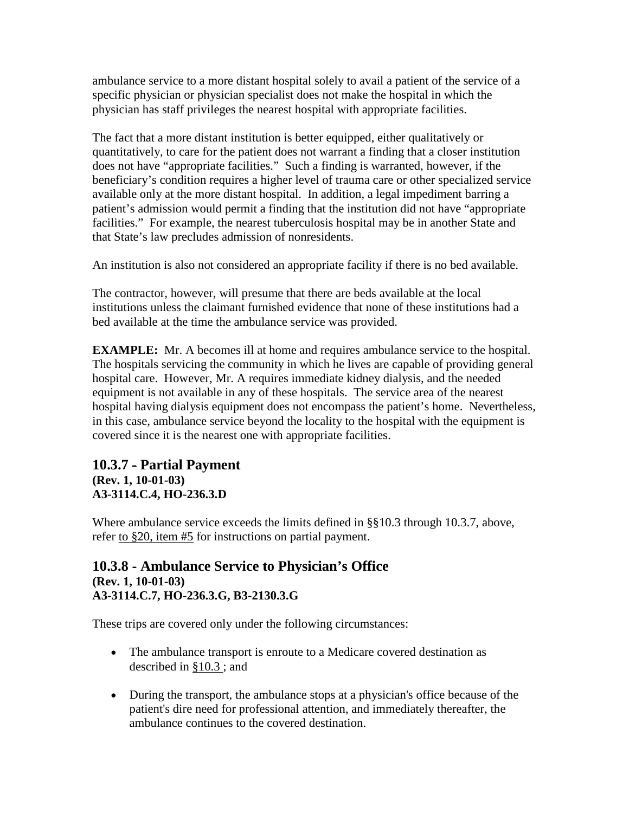ambulance service to a more distant hospital solely to avail a patient of the service of a specific physician or physician specialist does not make the hospital in which the physician has staff privileges the nearest hospital with appropriate facilities.

The fact that a more distant institution is better equipped, either qualitatively or quantitatively, to care for the patient does not warrant a finding that a closer institution does not have "appropriate facilities." Such a finding is warranted, however, if the beneficiary's condition requires a higher level of trauma care or other specialized service available only at the more distant hospital. In addition, a legal impediment barring a patient's admission would permit a finding that the institution did not have "appropriate facilities." For example, the nearest tuberculosis hospital may be in another State and that State's law precludes admission of nonresidents.

An institution is also not considered an appropriate facility if there is no bed available.

The contractor, however, will presume that there are beds available at the local institutions unless the claimant furnished evidence that none of these institutions had a bed available at the time the ambulance service was provided.

**EXAMPLE:** Mr. A becomes ill at home and requires ambulance service to the hospital. The hospitals servicing the community in which he lives are capable of providing general hospital care. However, Mr. A requires immediate kidney dialysis, and the needed equipment is not available in any of these hospitals. The service area of the nearest hospital having dialysis equipment does not encompass the patient's home. Nevertheless, in this case, ambulance service beyond the locality to the hospital with the equipment is covered since it is the nearest one with appropriate facilities.

# <span id="page-11-0"></span>**10.3.7 - Partial Payment (Rev. 1, 10-01-03) A3-3114.C.4, HO-236.3.D**

Where ambulance service exceeds the limits defined in §§10.3 through 10.3.7, above, refer [to §20, item #5](#page-20-1) for instructions on partial payment.

## <span id="page-11-1"></span>**10.3.8 - Ambulance Service to Physician's Office (Rev. 1, 10-01-03) A3-3114.C.7, HO-236.3.G, B3-2130.3.G**

These trips are covered only under the following circumstances:

- The ambulance transport is enroute to a Medicare covered destination as described in [§10.3 ;](#page-6-2) and
- During the transport, the ambulance stops at a physician's office because of the patient's dire need for professional attention, and immediately thereafter, the ambulance continues to the covered destination.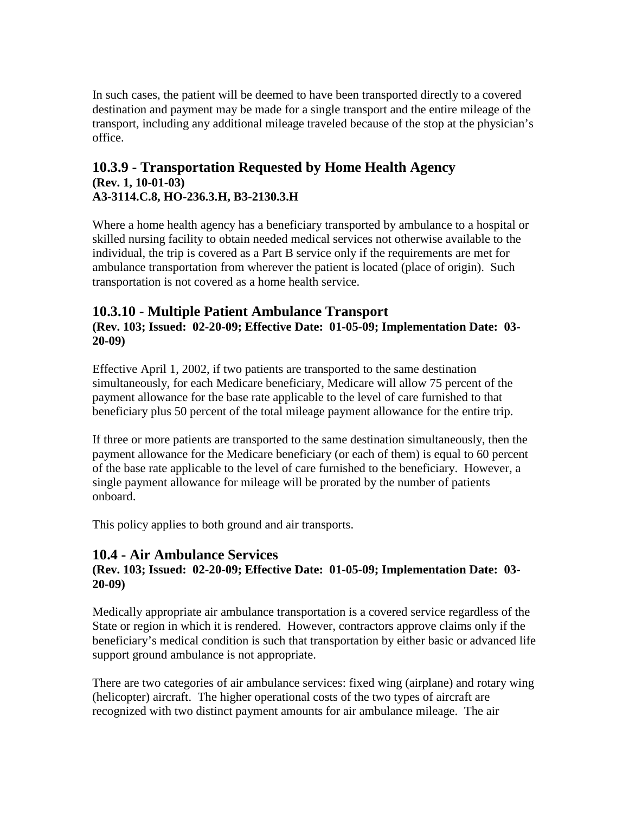In such cases, the patient will be deemed to have been transported directly to a covered destination and payment may be made for a single transport and the entire mileage of the transport, including any additional mileage traveled because of the stop at the physician's office.

# <span id="page-12-0"></span>**10.3.9 - Transportation Requested by Home Health Agency (Rev. 1, 10-01-03) A3-3114.C.8, HO-236.3.H, B3-2130.3.H**

Where a home health agency has a beneficiary transported by ambulance to a hospital or skilled nursing facility to obtain needed medical services not otherwise available to the individual, the trip is covered as a Part B service only if the requirements are met for ambulance transportation from wherever the patient is located (place of origin). Such transportation is not covered as a home health service.

#### <span id="page-12-1"></span>**10.3.10 - Multiple Patient Ambulance Transport (Rev. 103; Issued: 02-20-09; Effective Date: 01-05-09; Implementation Date: 03- 20-09)**

Effective April 1, 2002, if two patients are transported to the same destination simultaneously, for each Medicare beneficiary, Medicare will allow 75 percent of the payment allowance for the base rate applicable to the level of care furnished to that beneficiary plus 50 percent of the total mileage payment allowance for the entire trip.

If three or more patients are transported to the same destination simultaneously, then the payment allowance for the Medicare beneficiary (or each of them) is equal to 60 percent of the base rate applicable to the level of care furnished to the beneficiary. However, a single payment allowance for mileage will be prorated by the number of patients onboard.

This policy applies to both ground and air transports.

#### <span id="page-12-2"></span>**10.4 - Air Ambulance Services (Rev. 103; Issued: 02-20-09; Effective Date: 01-05-09; Implementation Date: 03- 20-09)**

Medically appropriate air ambulance transportation is a covered service regardless of the State or region in which it is rendered. However, contractors approve claims only if the beneficiary's medical condition is such that transportation by either basic or advanced life support ground ambulance is not appropriate.

There are two categories of air ambulance services: fixed wing (airplane) and rotary wing (helicopter) aircraft. The higher operational costs of the two types of aircraft are recognized with two distinct payment amounts for air ambulance mileage. The air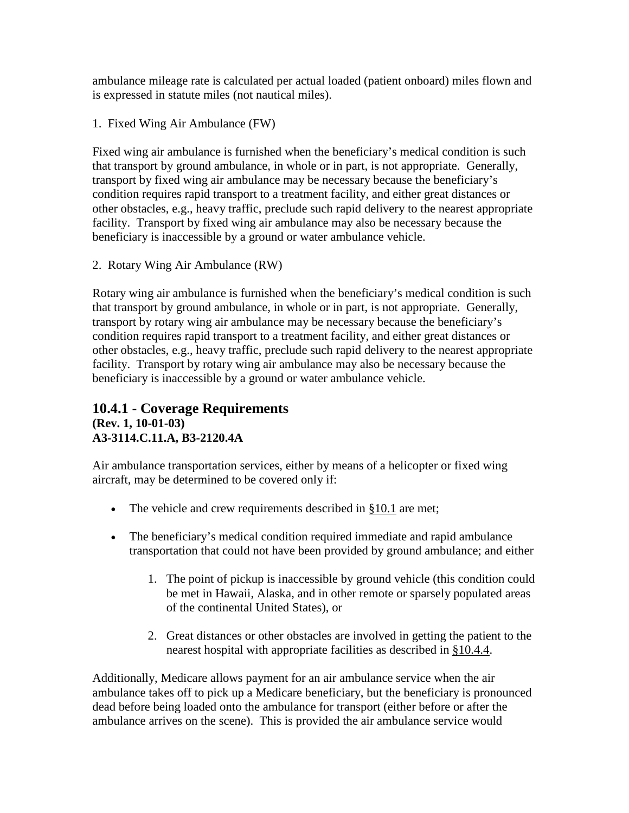ambulance mileage rate is calculated per actual loaded (patient onboard) miles flown and is expressed in statute miles (not nautical miles).

1. Fixed Wing Air Ambulance (FW)

Fixed wing air ambulance is furnished when the beneficiary's medical condition is such that transport by ground ambulance, in whole or in part, is not appropriate. Generally, transport by fixed wing air ambulance may be necessary because the beneficiary's condition requires rapid transport to a treatment facility, and either great distances or other obstacles, e.g., heavy traffic, preclude such rapid delivery to the nearest appropriate facility. Transport by fixed wing air ambulance may also be necessary because the beneficiary is inaccessible by a ground or water ambulance vehicle.

2. Rotary Wing Air Ambulance (RW)

Rotary wing air ambulance is furnished when the beneficiary's medical condition is such that transport by ground ambulance, in whole or in part, is not appropriate. Generally, transport by rotary wing air ambulance may be necessary because the beneficiary's condition requires rapid transport to a treatment facility, and either great distances or other obstacles, e.g., heavy traffic, preclude such rapid delivery to the nearest appropriate facility. Transport by rotary wing air ambulance may also be necessary because the beneficiary is inaccessible by a ground or water ambulance vehicle.

# <span id="page-13-0"></span>**10.4.1 - Coverage Requirements (Rev. 1, 10-01-03) A3-3114.C.11.A, B3-2120.4A**

Air ambulance transportation services, either by means of a helicopter or fixed wing aircraft, may be determined to be covered only if:

- The vehicle and crew requirements described in [§10.1](#page-2-1) are met;
- The beneficiary's medical condition required immediate and rapid ambulance transportation that could not have been provided by ground ambulance; and either
	- 1. The point of pickup is inaccessible by ground vehicle (this condition could be met in Hawaii, Alaska, and in other remote or sparsely populated areas of the continental United States), or
	- 2. Great distances or other obstacles are involved in getting the patient to the nearest hospital with appropriate facilities as described in [§10.4.4.](#page-15-0)

Additionally, Medicare allows payment for an air ambulance service when the air ambulance takes off to pick up a Medicare beneficiary, but the beneficiary is pronounced dead before being loaded onto the ambulance for transport (either before or after the ambulance arrives on the scene). This is provided the air ambulance service would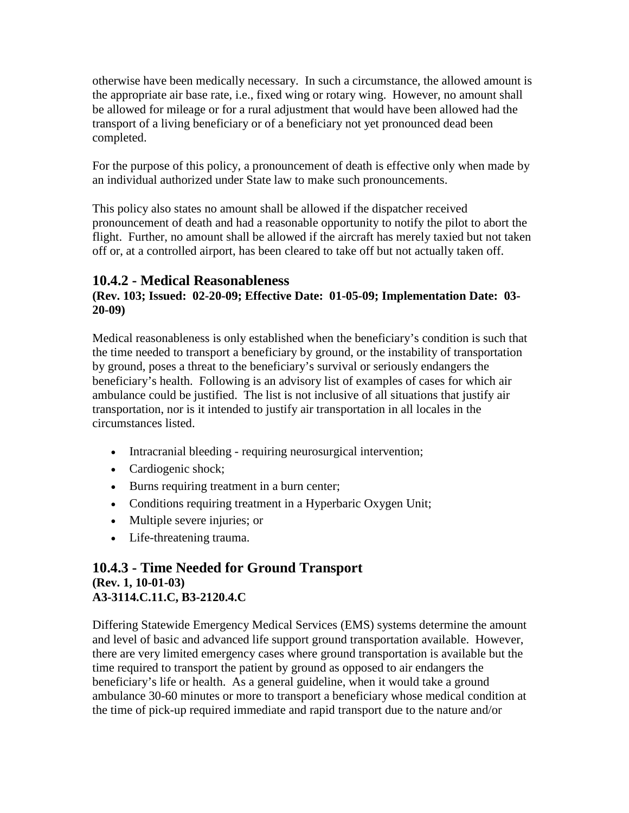otherwise have been medically necessary. In such a circumstance, the allowed amount is the appropriate air base rate, i.e., fixed wing or rotary wing. However, no amount shall be allowed for mileage or for a rural adjustment that would have been allowed had the transport of a living beneficiary or of a beneficiary not yet pronounced dead been completed.

For the purpose of this policy, a pronouncement of death is effective only when made by an individual authorized under State law to make such pronouncements.

This policy also states no amount shall be allowed if the dispatcher received pronouncement of death and had a reasonable opportunity to notify the pilot to abort the flight. Further, no amount shall be allowed if the aircraft has merely taxied but not taken off or, at a controlled airport, has been cleared to take off but not actually taken off.

# <span id="page-14-0"></span>**10.4.2 - Medical Reasonableness**

#### **(Rev. 103; Issued: 02-20-09; Effective Date: 01-05-09; Implementation Date: 03- 20-09)**

Medical reasonableness is only established when the beneficiary's condition is such that the time needed to transport a beneficiary by ground, or the instability of transportation by ground, poses a threat to the beneficiary's survival or seriously endangers the beneficiary's health. Following is an advisory list of examples of cases for which air ambulance could be justified. The list is not inclusive of all situations that justify air transportation, nor is it intended to justify air transportation in all locales in the circumstances listed.

- Intracranial bleeding requiring neurosurgical intervention;
- Cardiogenic shock;
- Burns requiring treatment in a burn center;
- Conditions requiring treatment in a Hyperbaric Oxygen Unit;
- Multiple severe injuries; or
- Life-threatening trauma.

## <span id="page-14-1"></span>**10.4.3 - Time Needed for Ground Transport (Rev. 1, 10-01-03) A3-3114.C.11.C, B3-2120.4.C**

Differing Statewide Emergency Medical Services (EMS) systems determine the amount and level of basic and advanced life support ground transportation available. However, there are very limited emergency cases where ground transportation is available but the time required to transport the patient by ground as opposed to air endangers the beneficiary's life or health. As a general guideline, when it would take a ground ambulance 30-60 minutes or more to transport a beneficiary whose medical condition at the time of pick-up required immediate and rapid transport due to the nature and/or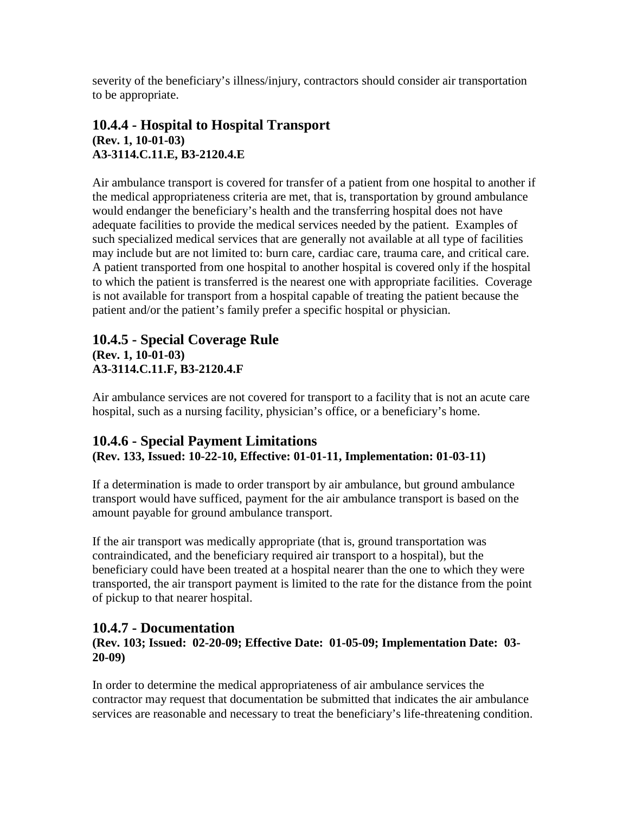severity of the beneficiary's illness/injury, contractors should consider air transportation to be appropriate.

# <span id="page-15-0"></span>**10.4.4 - Hospital to Hospital Transport (Rev. 1, 10-01-03) A3-3114.C.11.E, B3-2120.4.E**

Air ambulance transport is covered for transfer of a patient from one hospital to another if the medical appropriateness criteria are met, that is, transportation by ground ambulance would endanger the beneficiary's health and the transferring hospital does not have adequate facilities to provide the medical services needed by the patient. Examples of such specialized medical services that are generally not available at all type of facilities may include but are not limited to: burn care, cardiac care, trauma care, and critical care. A patient transported from one hospital to another hospital is covered only if the hospital to which the patient is transferred is the nearest one with appropriate facilities. Coverage is not available for transport from a hospital capable of treating the patient because the patient and/or the patient's family prefer a specific hospital or physician.

# <span id="page-15-1"></span>**10.4.5 - Special Coverage Rule (Rev. 1, 10-01-03) A3-3114.C.11.F, B3-2120.4.F**

Air ambulance services are not covered for transport to a facility that is not an acute care hospital, such as a nursing facility, physician's office, or a beneficiary's home.

# <span id="page-15-2"></span>**10.4.6 - Special Payment Limitations (Rev. 133, Issued: 10-22-10, Effective: 01-01-11, Implementation: 01-03-11)**

If a determination is made to order transport by air ambulance, but ground ambulance transport would have sufficed, payment for the air ambulance transport is based on the amount payable for ground ambulance transport.

If the air transport was medically appropriate (that is, ground transportation was contraindicated, and the beneficiary required air transport to a hospital), but the beneficiary could have been treated at a hospital nearer than the one to which they were transported, the air transport payment is limited to the rate for the distance from the point of pickup to that nearer hospital.

# <span id="page-15-3"></span>**10.4.7 - Documentation**

### **(Rev. 103; Issued: 02-20-09; Effective Date: 01-05-09; Implementation Date: 03- 20-09)**

In order to determine the medical appropriateness of air ambulance services the contractor may request that documentation be submitted that indicates the air ambulance services are reasonable and necessary to treat the beneficiary's life-threatening condition.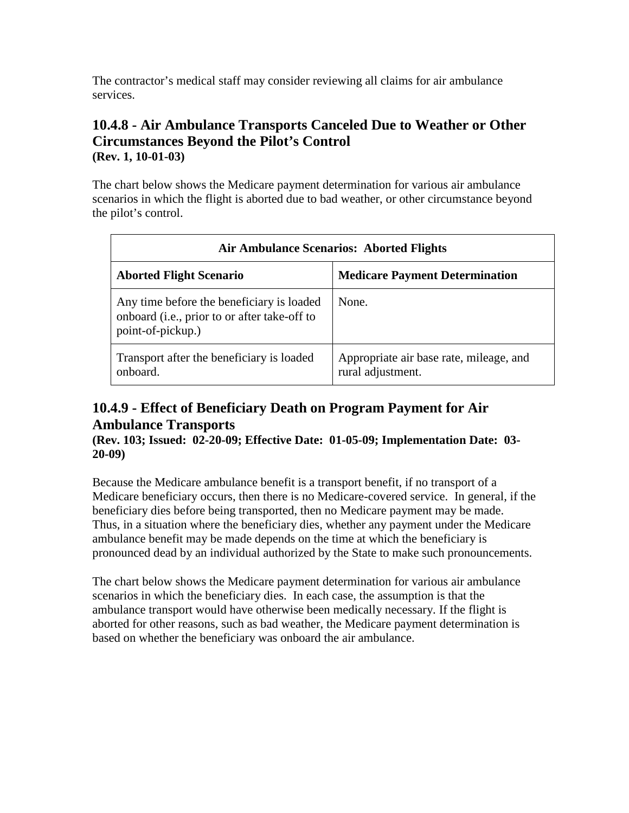The contractor's medical staff may consider reviewing all claims for air ambulance services.

# <span id="page-16-0"></span>**10.4.8 - Air Ambulance Transports Canceled Due to Weather or Other Circumstances Beyond the Pilot's Control (Rev. 1, 10-01-03)**

The chart below shows the Medicare payment determination for various air ambulance scenarios in which the flight is aborted due to bad weather, or other circumstance beyond the pilot's control.

| <b>Air Ambulance Scenarios: Aborted Flights</b>                                                                |                                                              |  |  |
|----------------------------------------------------------------------------------------------------------------|--------------------------------------------------------------|--|--|
| <b>Aborted Flight Scenario</b>                                                                                 | <b>Medicare Payment Determination</b>                        |  |  |
| Any time before the beneficiary is loaded<br>onboard (i.e., prior to or after take-off to<br>point-of-pickup.) | None.                                                        |  |  |
| Transport after the beneficiary is loaded<br>onboard.                                                          | Appropriate air base rate, mileage, and<br>rural adjustment. |  |  |

# <span id="page-16-1"></span>**10.4.9 - Effect of Beneficiary Death on Program Payment for Air Ambulance Transports**

# <span id="page-16-2"></span>**(Rev. 103; Issued: 02-20-09; Effective Date: 01-05-09; Implementation Date: 03- 20-09)**

Because the Medicare ambulance benefit is a transport benefit, if no transport of a Medicare beneficiary occurs, then there is no Medicare-covered service. In general, if the beneficiary dies before being transported, then no Medicare payment may be made. Thus, in a situation where the beneficiary dies, whether any payment under the Medicare ambulance benefit may be made depends on the time at which the beneficiary is pronounced dead by an individual authorized by the State to make such pronouncements.

The chart below shows the Medicare payment determination for various air ambulance scenarios in which the beneficiary dies. In each case, the assumption is that the ambulance transport would have otherwise been medically necessary. If the flight is aborted for other reasons, such as bad weather, the Medicare payment determination is based on whether the beneficiary was onboard the air ambulance.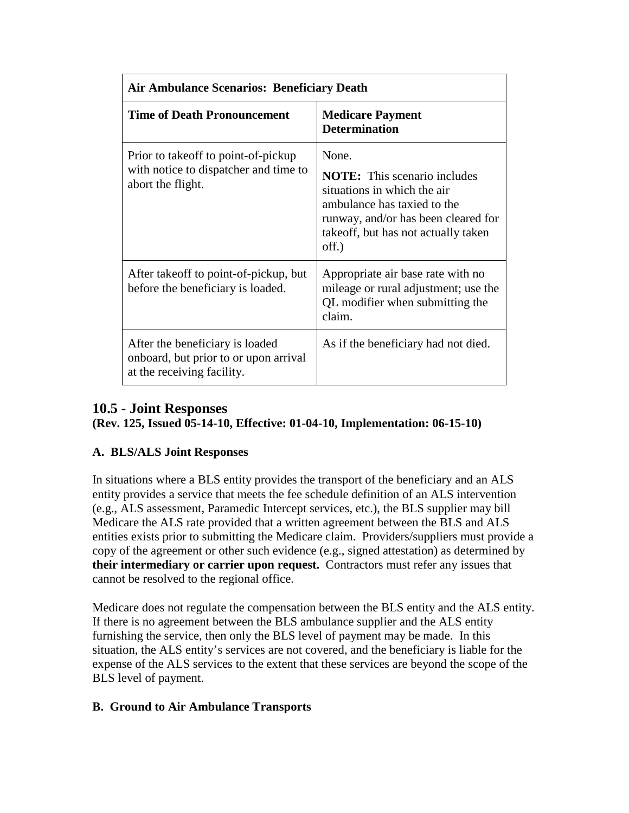| <b>Air Ambulance Scenarios: Beneficiary Death</b>                                                      |                                                                                                                                                                                                    |  |
|--------------------------------------------------------------------------------------------------------|----------------------------------------------------------------------------------------------------------------------------------------------------------------------------------------------------|--|
| <b>Time of Death Pronouncement</b>                                                                     | <b>Medicare Payment</b><br><b>Determination</b>                                                                                                                                                    |  |
| Prior to take off to point-of-pickup<br>with notice to dispatcher and time to<br>abort the flight.     | None.<br><b>NOTE:</b> This scenario includes<br>situations in which the air<br>ambulance has taxied to the<br>runway, and/or has been cleared for<br>take off, but has not actually taken<br>off.) |  |
| After take off to point-of-pickup, but<br>before the beneficiary is loaded.                            | Appropriate air base rate with no<br>mileage or rural adjustment; use the<br>QL modifier when submitting the<br>claim.                                                                             |  |
| After the beneficiary is loaded<br>onboard, but prior to or upon arrival<br>at the receiving facility. | As if the beneficiary had not died.                                                                                                                                                                |  |

# <span id="page-17-0"></span>**10.5 - Joint Responses**

**(Rev. 125, Issued 05-14-10, Effective: 01-04-10, Implementation: 06-15-10)**

# **A. BLS/ALS Joint Responses**

In situations where a BLS entity provides the transport of the beneficiary and an ALS entity provides a service that meets the fee schedule definition of an ALS intervention (e.g., ALS assessment, Paramedic Intercept services, etc.), the BLS supplier may bill Medicare the ALS rate provided that a written agreement between the BLS and ALS entities exists prior to submitting the Medicare claim. Providers/suppliers must provide a copy of the agreement or other such evidence (e.g., signed attestation) as determined by **their intermediary or carrier upon request.** Contractors must refer any issues that cannot be resolved to the regional office.

Medicare does not regulate the compensation between the BLS entity and the ALS entity. If there is no agreement between the BLS ambulance supplier and the ALS entity furnishing the service, then only the BLS level of payment may be made. In this situation, the ALS entity's services are not covered, and the beneficiary is liable for the expense of the ALS services to the extent that these services are beyond the scope of the BLS level of payment.

# **B. Ground to Air Ambulance Transports**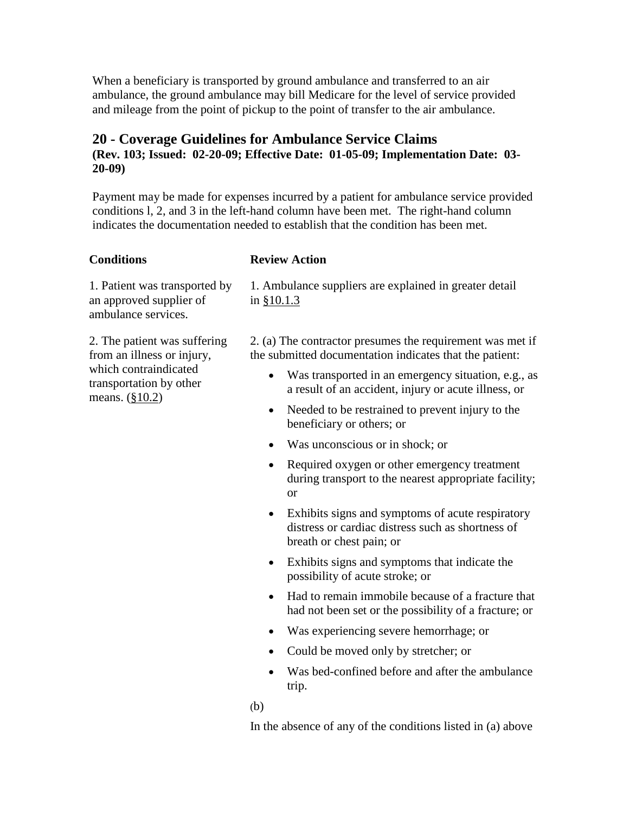When a beneficiary is transported by ground ambulance and transferred to an air ambulance, the ground ambulance may bill Medicare for the level of service provided and mileage from the point of pickup to the point of transfer to the air ambulance.

### <span id="page-18-0"></span>**20 - Coverage Guidelines for Ambulance Service Claims (Rev. 103; Issued: 02-20-09; Effective Date: 01-05-09; Implementation Date: 03- 20-09)**

Payment may be made for expenses incurred by a patient for ambulance service provided conditions l, 2, and 3 in the left-hand column have been met. The right-hand column indicates the documentation needed to establish that the condition has been met.

| <b>Conditions</b>                                                                                                                    | <b>Review Action</b>                                                                                                                   |  |  |
|--------------------------------------------------------------------------------------------------------------------------------------|----------------------------------------------------------------------------------------------------------------------------------------|--|--|
| 1. Patient was transported by<br>an approved supplier of<br>ambulance services.                                                      | 1. Ambulance suppliers are explained in greater detail<br>in $$10.1.3$                                                                 |  |  |
| 2. The patient was suffering<br>from an illness or injury,<br>which contraindicated<br>transportation by other<br>means. $(\S 10.2)$ | 2. (a) The contractor presumes the requirement was met if<br>the submitted documentation indicates that the patient:                   |  |  |
|                                                                                                                                      | Was transported in an emergency situation, e.g., as<br>$\bullet$<br>a result of an accident, injury or acute illness, or               |  |  |
|                                                                                                                                      | Needed to be restrained to prevent injury to the<br>beneficiary or others; or                                                          |  |  |
|                                                                                                                                      | Was unconscious or in shock; or                                                                                                        |  |  |
|                                                                                                                                      | Required oxygen or other emergency treatment<br>$\bullet$<br>during transport to the nearest appropriate facility;<br>or               |  |  |
|                                                                                                                                      | Exhibits signs and symptoms of acute respiratory<br>٠<br>distress or cardiac distress such as shortness of<br>breath or chest pain; or |  |  |
|                                                                                                                                      | Exhibits signs and symptoms that indicate the<br>$\bullet$<br>possibility of acute stroke; or                                          |  |  |
|                                                                                                                                      | Had to remain immobile because of a fracture that<br>$\bullet$<br>had not been set or the possibility of a fracture; or                |  |  |
|                                                                                                                                      | Was experiencing severe hemorrhage; or                                                                                                 |  |  |

- Could be moved only by stretcher; or
- Was bed-confined before and after the ambulance trip.
- (b)

In the absence of any of the conditions listed in (a) above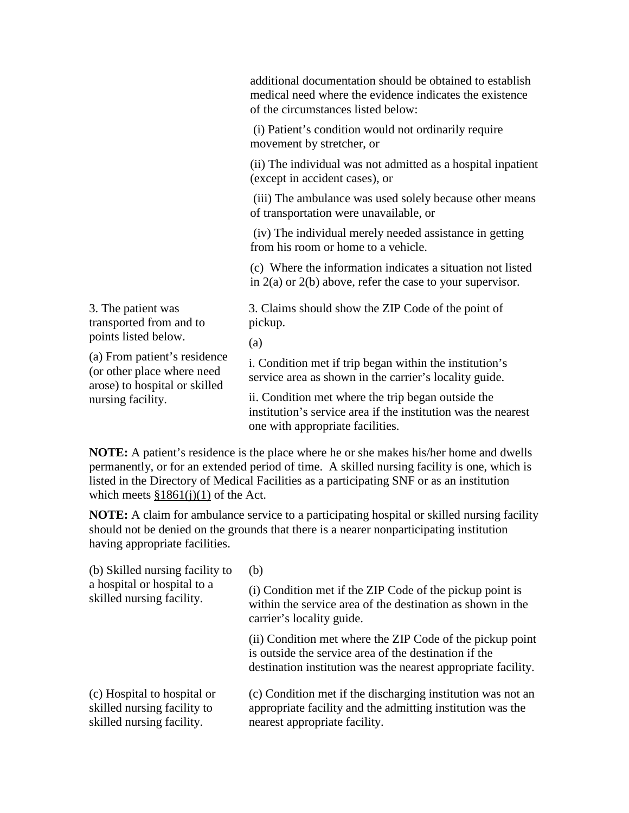|                                                                                                                                                                                           | medical need where the evidence indicates the existence<br>of the circumstances listed below:                                                           |  |
|-------------------------------------------------------------------------------------------------------------------------------------------------------------------------------------------|---------------------------------------------------------------------------------------------------------------------------------------------------------|--|
|                                                                                                                                                                                           | (i) Patient's condition would not ordinarily require<br>movement by stretcher, or                                                                       |  |
|                                                                                                                                                                                           | (ii) The individual was not admitted as a hospital inpatient<br>(except in accident cases), or                                                          |  |
|                                                                                                                                                                                           | (iii) The ambulance was used solely because other means<br>of transportation were unavailable, or                                                       |  |
|                                                                                                                                                                                           | (iv) The individual merely needed assistance in getting<br>from his room or home to a vehicle.                                                          |  |
|                                                                                                                                                                                           | (c) Where the information indicates a situation not listed<br>in $2(a)$ or $2(b)$ above, refer the case to your supervisor.                             |  |
| 3. The patient was<br>transported from and to<br>points listed below.<br>(a) From patient's residence<br>(or other place where need<br>arose) to hospital or skilled<br>nursing facility. | 3. Claims should show the ZIP Code of the point of<br>pickup.                                                                                           |  |
|                                                                                                                                                                                           | (a)                                                                                                                                                     |  |
|                                                                                                                                                                                           | i. Condition met if trip began within the institution's<br>service area as shown in the carrier's locality guide.                                       |  |
|                                                                                                                                                                                           | ii. Condition met where the trip began outside the<br>institution's service area if the institution was the nearest<br>one with appropriate facilities. |  |

additional documentation should be obtained to establish

**NOTE:** A patient's residence is the place where he or she makes his/her home and dwells permanently, or for an extended period of time. A skilled nursing facility is one, which is listed in the Directory of Medical Facilities as a participating SNF or as an institution which meets  $$1861(j)(1)$  of the Act.

**NOTE:** A claim for ambulance service to a participating hospital or skilled nursing facility should not be denied on the grounds that there is a nearer nonparticipating institution having appropriate facilities.

| (b) Skilled nursing facility to<br>a hospital or hospital to a<br>skilled nursing facility. | (b)                                                                                                                                                                                 |  |
|---------------------------------------------------------------------------------------------|-------------------------------------------------------------------------------------------------------------------------------------------------------------------------------------|--|
|                                                                                             | (i) Condition met if the ZIP Code of the pickup point is<br>within the service area of the destination as shown in the<br>carrier's locality guide.                                 |  |
|                                                                                             | (ii) Condition met where the ZIP Code of the pickup point<br>is outside the service area of the destination if the<br>destination institution was the nearest appropriate facility. |  |
| (c) Hospital to hospital or<br>skilled nursing facility to<br>skilled nursing facility.     | (c) Condition met if the discharging institution was not an<br>appropriate facility and the admitting institution was the<br>nearest appropriate facility.                          |  |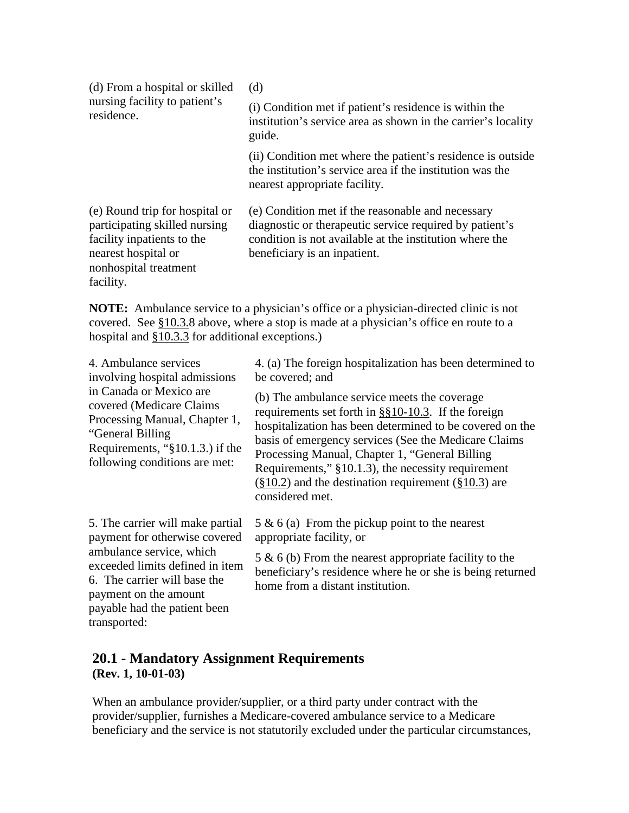| (d) From a hospital or skilled<br>nursing facility to patient's<br>residence.                                                                              | (d)                                                                                                                                                                                                     |  |
|------------------------------------------------------------------------------------------------------------------------------------------------------------|---------------------------------------------------------------------------------------------------------------------------------------------------------------------------------------------------------|--|
|                                                                                                                                                            | (i) Condition met if patient's residence is within the<br>institution's service area as shown in the carrier's locality<br>guide.                                                                       |  |
|                                                                                                                                                            | (ii) Condition met where the patient's residence is outside<br>the institution's service area if the institution was the<br>nearest appropriate facility.                                               |  |
| (e) Round trip for hospital or<br>participating skilled nursing<br>facility inpatients to the<br>nearest hospital or<br>nonhospital treatment<br>facility. | (e) Condition met if the reasonable and necessary<br>diagnostic or therapeutic service required by patient's<br>condition is not available at the institution where the<br>beneficiary is an inpatient. |  |

**NOTE:** Ambulance service to a physician's office or a physician-directed clinic is not covered. See [§10.3.8](#page-11-0) above, where a stop is made at a physician's office en route to a hospital and  $\sqrt[3]{10.3.3}$  for additional exceptions.)

| 4. Ambulance services                                                                                                                                                         | 4. (a) The foreign hospitalization has been determined to                                                                                                                                                                                                                                                                                                                                                              |  |
|-------------------------------------------------------------------------------------------------------------------------------------------------------------------------------|------------------------------------------------------------------------------------------------------------------------------------------------------------------------------------------------------------------------------------------------------------------------------------------------------------------------------------------------------------------------------------------------------------------------|--|
| involving hospital admissions                                                                                                                                                 | be covered; and                                                                                                                                                                                                                                                                                                                                                                                                        |  |
| in Canada or Mexico are<br>covered (Medicare Claims<br>Processing Manual, Chapter 1,<br>"General Billing"<br>Requirements, "§10.1.3.) if the<br>following conditions are met: | (b) The ambulance service meets the coverage<br>requirements set forth in $\S$ §10-10.3. If the foreign<br>hospitalization has been determined to be covered on the<br>basis of emergency services (See the Medicare Claims<br>Processing Manual, Chapter 1, "General Billing<br>Requirements," $§10.1.3$ ), the necessity requirement<br>$(\S10.2)$ and the destination requirement $(\S10.3)$ are<br>considered met. |  |
| 5. The carrier will make partial                                                                                                                                              | $5 \& 6$ (a) From the pickup point to the nearest                                                                                                                                                                                                                                                                                                                                                                      |  |
| payment for otherwise covered                                                                                                                                                 | appropriate facility, or                                                                                                                                                                                                                                                                                                                                                                                               |  |
| ambulance service, which<br>exceeded limits defined in item<br>6. The carrier will base the<br>payment on the amount<br>payable had the patient been<br>transported:          | $5 & 6$ (b) From the nearest appropriate facility to the<br>beneficiary's residence where he or she is being returned<br>home from a distant institution.                                                                                                                                                                                                                                                              |  |

## <span id="page-20-1"></span><span id="page-20-0"></span>**20.1 - Mandatory Assignment Requirements (Rev. 1, 10-01-03)**

When an ambulance provider/supplier, or a third party under contract with the provider/supplier, furnishes a Medicare-covered ambulance service to a Medicare beneficiary and the service is not statutorily excluded under the particular circumstances,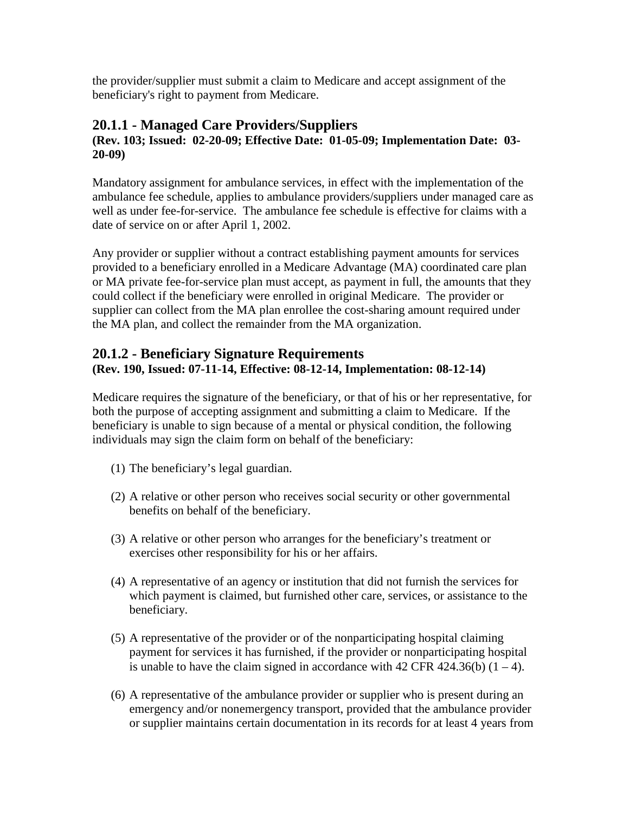the provider/supplier must submit a claim to Medicare and accept assignment of the beneficiary's right to payment from Medicare.

# <span id="page-21-0"></span>**20.1.1 - Managed Care Providers/Suppliers**

### **(Rev. 103; Issued: 02-20-09; Effective Date: 01-05-09; Implementation Date: 03- 20-09)**

Mandatory assignment for ambulance services, in effect with the implementation of the ambulance fee schedule, applies to ambulance providers/suppliers under managed care as well as under fee-for-service. The ambulance fee schedule is effective for claims with a date of service on or after April 1, 2002.

Any provider or supplier without a contract establishing payment amounts for services provided to a beneficiary enrolled in a Medicare Advantage (MA) coordinated care plan or MA private fee-for-service plan must accept, as payment in full, the amounts that they could collect if the beneficiary were enrolled in original Medicare. The provider or supplier can collect from the MA plan enrollee the cost-sharing amount required under the MA plan, and collect the remainder from the MA organization.

# <span id="page-21-1"></span>**20.1.2 - Beneficiary Signature Requirements (Rev. 190, Issued: 07-11-14, Effective: 08-12-14, Implementation: 08-12-14)**

Medicare requires the signature of the beneficiary, or that of his or her representative, for both the purpose of accepting assignment and submitting a claim to Medicare. If the beneficiary is unable to sign because of a mental or physical condition, the following individuals may sign the claim form on behalf of the beneficiary:

- (1) The beneficiary's legal guardian.
- (2) A relative or other person who receives social security or other governmental benefits on behalf of the beneficiary.
- (3) A relative or other person who arranges for the beneficiary's treatment or exercises other responsibility for his or her affairs.
- (4) A representative of an agency or institution that did not furnish the services for which payment is claimed, but furnished other care, services, or assistance to the beneficiary.
- (5) A representative of the provider or of the nonparticipating hospital claiming payment for services it has furnished, if the provider or nonparticipating hospital is unable to have the claim signed in accordance with 42 CFR 424.36(b)  $(1 – 4)$ .
- (6) A representative of the ambulance provider or supplier who is present during an emergency and/or nonemergency transport, provided that the ambulance provider or supplier maintains certain documentation in its records for at least 4 years from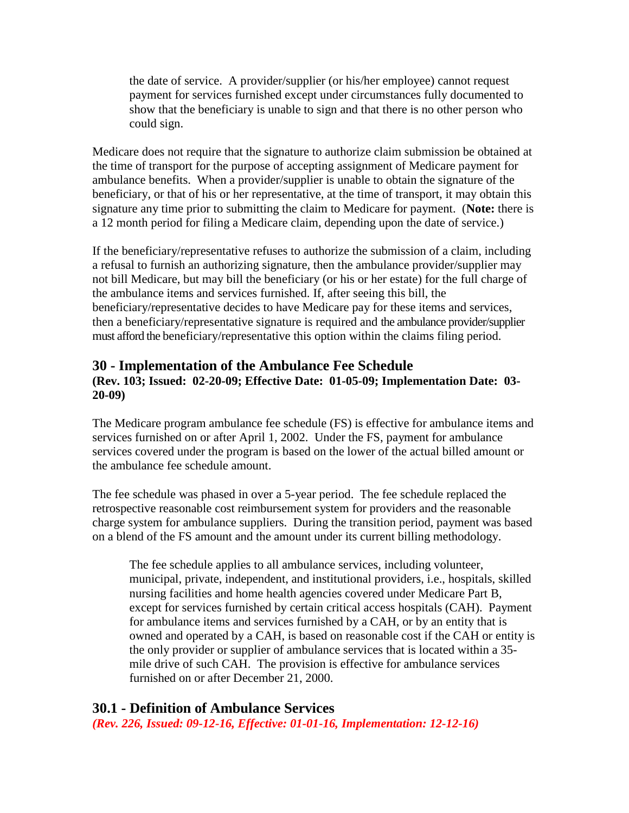the date of service. A provider/supplier (or his/her employee) cannot request payment for services furnished except under circumstances fully documented to show that the beneficiary is unable to sign and that there is no other person who could sign.

Medicare does not require that the signature to authorize claim submission be obtained at the time of transport for the purpose of accepting assignment of Medicare payment for ambulance benefits. When a provider/supplier is unable to obtain the signature of the beneficiary, or that of his or her representative, at the time of transport, it may obtain this signature any time prior to submitting the claim to Medicare for payment. (**Note:** there is a 12 month period for filing a Medicare claim, depending upon the date of service.)

If the beneficiary/representative refuses to authorize the submission of a claim, including a refusal to furnish an authorizing signature, then the ambulance provider/supplier may not bill Medicare, but may bill the beneficiary (or his or her estate) for the full charge of the ambulance items and services furnished. If, after seeing this bill, the beneficiary/representative decides to have Medicare pay for these items and services, then a beneficiary/representative signature is required and the ambulance provider/supplier must afford the beneficiary/representative this option within the claims filing period.

# <span id="page-22-0"></span>**30 - Implementation of the Ambulance Fee Schedule (Rev. 103; Issued: 02-20-09; Effective Date: 01-05-09; Implementation Date: 03- 20-09)**

The Medicare program ambulance fee schedule (FS) is effective for ambulance items and services furnished on or after April 1, 2002. Under the FS, payment for ambulance services covered under the program is based on the lower of the actual billed amount or the ambulance fee schedule amount.

The fee schedule was phased in over a 5-year period. The fee schedule replaced the retrospective reasonable cost reimbursement system for providers and the reasonable charge system for ambulance suppliers. During the transition period, payment was based on a blend of the FS amount and the amount under its current billing methodology.

The fee schedule applies to all ambulance services, including volunteer, municipal, private, independent, and institutional providers, i.e., hospitals, skilled nursing facilities and home health agencies covered under Medicare Part B, except for services furnished by certain critical access hospitals (CAH). Payment for ambulance items and services furnished by a CAH, or by an entity that is owned and operated by a CAH, is based on reasonable cost if the CAH or entity is the only provider or supplier of ambulance services that is located within a 35 mile drive of such CAH. The provision is effective for ambulance services furnished on or after December 21, 2000.

# <span id="page-22-1"></span>**30.1 - Definition of Ambulance Services**

*(Rev. 226, Issued: 09-12-16, Effective: 01-01-16, Implementation: 12-12-16)*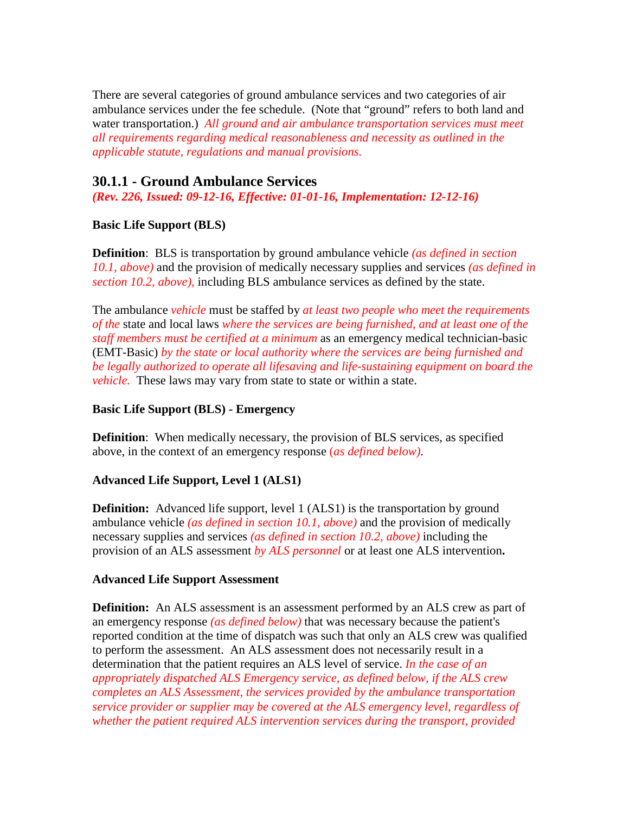There are several categories of ground ambulance services and two categories of air ambulance services under the fee schedule. (Note that "ground" refers to both land and water transportation.) *All ground and air ambulance transportation services must meet all requirements regarding medical reasonableness and necessity as outlined in the applicable statute, regulations and manual provisions.*

### <span id="page-23-0"></span>**30.1.1 - Ground Ambulance Services**

*(Rev. 226, Issued: 09-12-16, Effective: 01-01-16, Implementation: 12-12-16)*

#### **Basic Life Support (BLS)**

**Definition**: BLS is transportation by ground ambulance vehicle *(as defined in section 10.1, above)* and the provision of medically necessary supplies and services *(as defined in section 10.2, above),* including BLS ambulance services as defined by the state.

The ambulance *vehicle* must be staffed by *at least two people who meet the requirements of the* state and local laws *where the services are being furnished, and at least one of the staff members must be certified at a minimum* as an emergency medical technician-basic (EMT-Basic) *by the state or local authority where the services are being furnished and be legally authorized to operate all lifesaving and life-sustaining equipment on board the vehicle*. These laws may vary from state to state or within a state.

#### **Basic Life Support (BLS) - Emergency**

**Definition**: When medically necessary, the provision of BLS services, as specified above, in the context of an emergency response (*as defined below)*.

#### **Advanced Life Support, Level 1 (ALS1)**

**Definition:** Advanced life support, level 1 (ALS1) is the transportation by ground ambulance vehicle *(as defined in section 10.1, above)* and the provision of medically necessary supplies and services *(as defined in section 10.2, above)* including the provision of an ALS assessment *by ALS personnel* or at least one ALS intervention**.**

#### **Advanced Life Support Assessment**

**Definition:** An ALS assessment is an assessment performed by an ALS crew as part of an emergency response *(as defined below)* that was necessary because the patient's reported condition at the time of dispatch was such that only an ALS crew was qualified to perform the assessment. An ALS assessment does not necessarily result in a determination that the patient requires an ALS level of service. *In the case of an appropriately dispatched ALS Emergency service, as defined below, if the ALS crew completes an ALS Assessment, the services provided by the ambulance transportation service provider or supplier may be covered at the ALS emergency level, regardless of whether the patient required ALS intervention services during the transport, provided*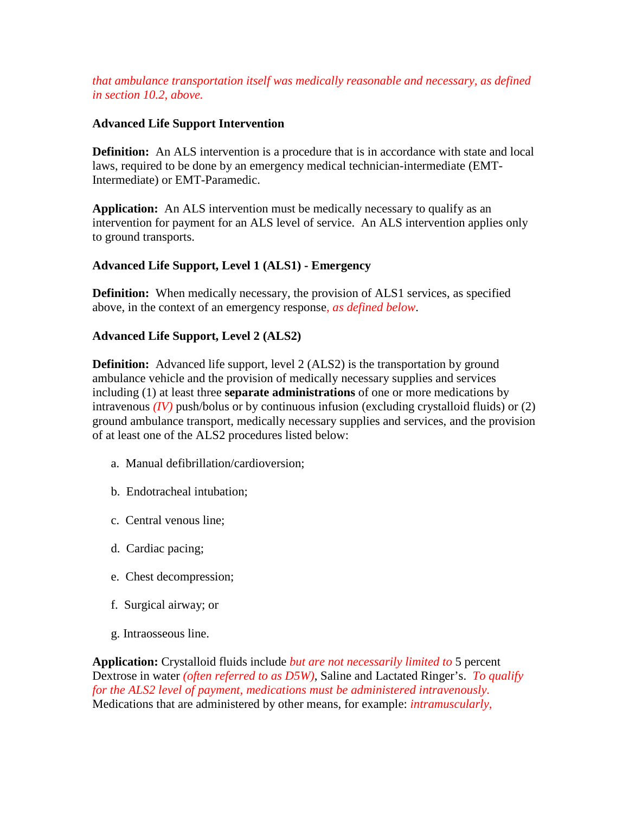#### *that ambulance transportation itself was medically reasonable and necessary, as defined in section 10.2, above.*

#### **Advanced Life Support Intervention**

**Definition:** An ALS intervention is a procedure that is in accordance with state and local laws, required to be done by an emergency medical technician-intermediate (EMT-Intermediate) or EMT-Paramedic.

**Application:** An ALS intervention must be medically necessary to qualify as an intervention for payment for an ALS level of service. An ALS intervention applies only to ground transports.

#### **Advanced Life Support, Level 1 (ALS1) - Emergency**

**Definition:** When medically necessary, the provision of ALS1 services, as specified above, in the context of an emergency response*, as defined below*.

#### **Advanced Life Support, Level 2 (ALS2)**

**Definition:** Advanced life support, level 2 (ALS2) is the transportation by ground ambulance vehicle and the provision of medically necessary supplies and services including (1) at least three **separate administrations** of one or more medications by intravenous *(IV)* push/bolus or by continuous infusion (excluding crystalloid fluids) or (2) ground ambulance transport, medically necessary supplies and services, and the provision of at least one of the ALS2 procedures listed below:

- a. Manual defibrillation/cardioversion;
- b. Endotracheal intubation;
- c. Central venous line;
- d. Cardiac pacing;
- e. Chest decompression;
- f. Surgical airway; or
- g. Intraosseous line.

**Application:** Crystalloid fluids include *but are not necessarily limited to* 5 percent Dextrose in water *(often referred to as D5W)*, Saline and Lactated Ringer's. *To qualify for the ALS2 level of payment, medications must be administered intravenously.* Medications that are administered by other means, for example: *intramuscularly,*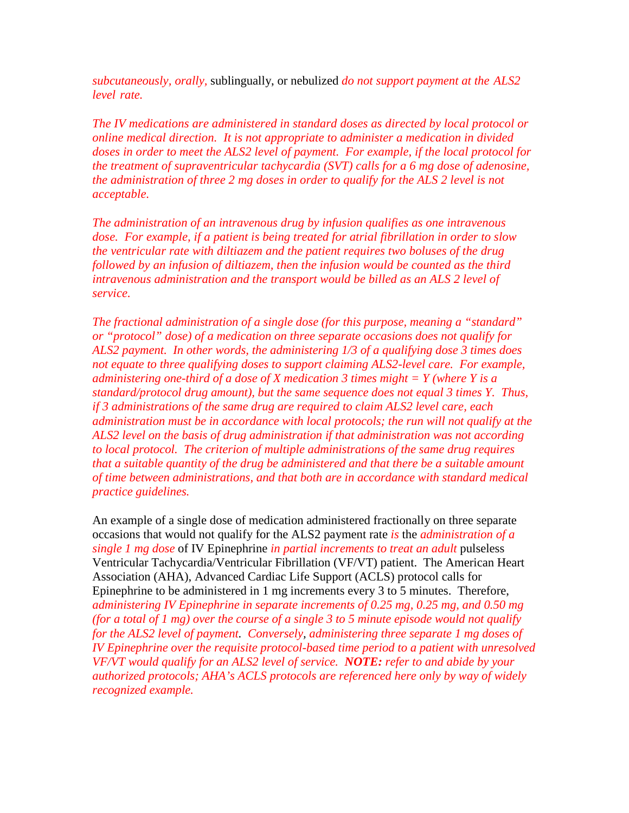*subcutaneously, orally,* sublingually, or nebulized *do not support payment at the ALS2 level rate.*

*The IV medications are administered in standard doses as directed by local protocol or online medical direction. It is not appropriate to administer a medication in divided doses in order to meet the ALS2 level of payment. For example, if the local protocol for the treatment of supraventricular tachycardia (SVT) calls for a 6 mg dose of adenosine, the administration of three 2 mg doses in order to qualify for the ALS 2 level is not acceptable.*

*The administration of an intravenous drug by infusion qualifies as one intravenous dose. For example, if a patient is being treated for atrial fibrillation in order to slow the ventricular rate with diltiazem and the patient requires two boluses of the drug followed by an infusion of diltiazem, then the infusion would be counted as the third intravenous administration and the transport would be billed as an ALS 2 level of service.*

*The fractional administration of a single dose (for this purpose, meaning a "standard" or "protocol" dose) of a medication on three separate occasions does not qualify for ALS2 payment. In other words, the administering 1/3 of a qualifying dose 3 times does not equate to three qualifying doses to support claiming ALS2-level care. For example, administering one-third of a dose of X medication 3 times might = Y (where Y is a standard/protocol drug amount), but the same sequence does not equal 3 times Y. Thus, if 3 administrations of the same drug are required to claim ALS2 level care, each administration must be in accordance with local protocols; the run will not qualify at the ALS2 level on the basis of drug administration if that administration was not according to local protocol. The criterion of multiple administrations of the same drug requires that a suitable quantity of the drug be administered and that there be a suitable amount of time between administrations, and that both are in accordance with standard medical practice guidelines.*

An example of a single dose of medication administered fractionally on three separate occasions that would not qualify for the ALS2 payment rate *is* the *administration of a single 1 mg dose* of IV Epinephrine *in partial increments to treat an adult* pulseless Ventricular Tachycardia/Ventricular Fibrillation (VF/VT) patient. The American Heart Association (AHA), Advanced Cardiac Life Support (ACLS) protocol calls for Epinephrine to be administered in 1 mg increments every 3 to 5 minutes. Therefore, *administering IV Epinephrine in separate increments of 0.25 mg, 0.25 mg, and 0.50 mg (for a total of 1 mg) over the course of a single 3 to 5 minute episode would not qualify for the ALS2 level of payment. Conversely, administering three separate 1 mg doses of IV Epinephrine over the requisite protocol-based time period to a patient with unresolved VF/VT would qualify for an ALS2 level of service. NOTE: refer to and abide by your authorized protocols; AHA's ACLS protocols are referenced here only by way of widely recognized example.*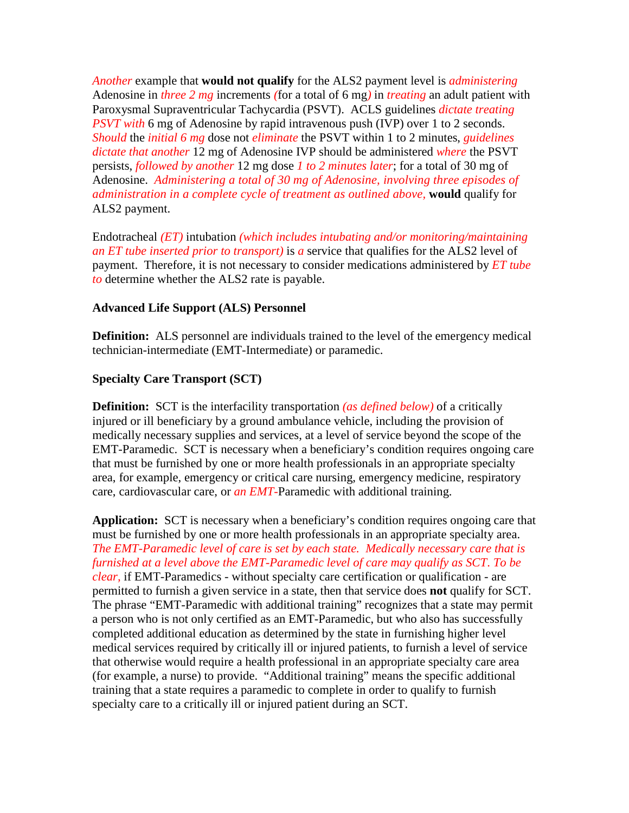*Another* example that **would not qualify** for the ALS2 payment level is *administering* Adenosine in *three 2 mg* increments *(*for a total of 6 mg*)* in *treating* an adult patient with Paroxysmal Supraventricular Tachycardia (PSVT). ACLS guidelines *dictate treating PSVT with* 6 mg of Adenosine by rapid intravenous push (IVP) over 1 to 2 seconds. *Should* the *initial 6 mg* dose not *eliminate* the PSVT within 1 to 2 minutes, *guidelines dictate that another* 12 mg of Adenosine IVP should be administered *where* the PSVT persists, *followed by another* 12 mg dose *1 to 2 minutes later*; for a total of 30 mg of Adenosine. *Administering a total of 30 mg of Adenosine, involving three episodes of administration in a complete cycle of treatment as outlined above,* **would** qualify for ALS2 payment.

Endotracheal *(ET)* intubation *(which includes intubating and/or monitoring/maintaining an ET tube inserted prior to transport)* is *a* service that qualifies for the ALS2 level of payment. Therefore, it is not necessary to consider medications administered by *ET tube to* determine whether the ALS2 rate is payable.

#### **Advanced Life Support (ALS) Personnel**

**Definition:** ALS personnel are individuals trained to the level of the emergency medical technician-intermediate (EMT-Intermediate) or paramedic.

#### **Specialty Care Transport (SCT)**

**Definition:** SCT is the interfacility transportation *(as defined below)* of a critically injured or ill beneficiary by a ground ambulance vehicle, including the provision of medically necessary supplies and services, at a level of service beyond the scope of the EMT-Paramedic. SCT is necessary when a beneficiary's condition requires ongoing care that must be furnished by one or more health professionals in an appropriate specialty area, for example, emergency or critical care nursing, emergency medicine, respiratory care, cardiovascular care, or *an EMT-*Paramedic with additional training.

**Application:** SCT is necessary when a beneficiary's condition requires ongoing care that must be furnished by one or more health professionals in an appropriate specialty area. *The EMT-Paramedic level of care is set by each state. Medically necessary care that is furnished at a level above the EMT-Paramedic level of care may qualify as SCT*. *To be clear,* if EMT-Paramedics - without specialty care certification or qualification - are permitted to furnish a given service in a state, then that service does **not** qualify for SCT. The phrase "EMT-Paramedic with additional training" recognizes that a state may permit a person who is not only certified as an EMT-Paramedic, but who also has successfully completed additional education as determined by the state in furnishing higher level medical services required by critically ill or injured patients, to furnish a level of service that otherwise would require a health professional in an appropriate specialty care area (for example, a nurse) to provide. "Additional training" means the specific additional training that a state requires a paramedic to complete in order to qualify to furnish specialty care to a critically ill or injured patient during an SCT.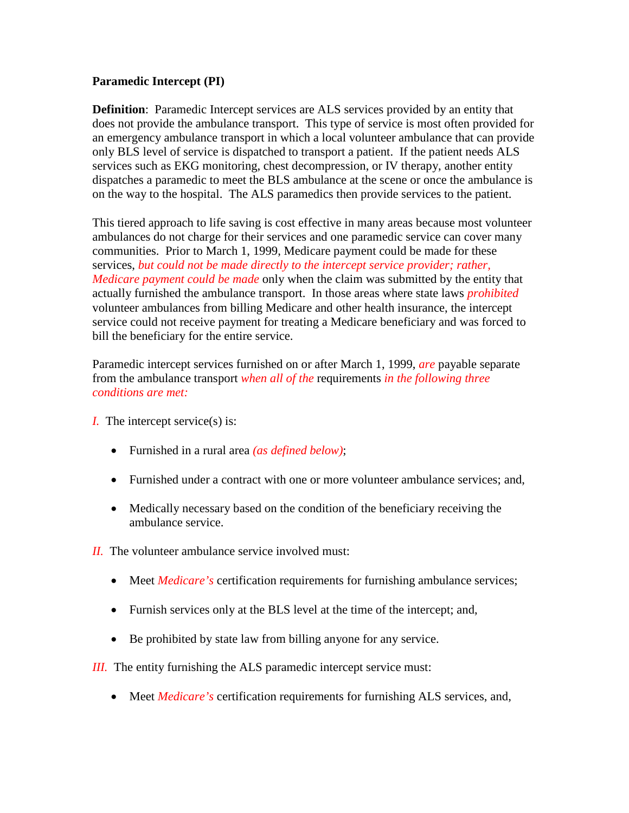#### **Paramedic Intercept (PI)**

**Definition**: Paramedic Intercept services are ALS services provided by an entity that does not provide the ambulance transport. This type of service is most often provided for an emergency ambulance transport in which a local volunteer ambulance that can provide only BLS level of service is dispatched to transport a patient. If the patient needs ALS services such as EKG monitoring, chest decompression, or IV therapy, another entity dispatches a paramedic to meet the BLS ambulance at the scene or once the ambulance is on the way to the hospital. The ALS paramedics then provide services to the patient.

This tiered approach to life saving is cost effective in many areas because most volunteer ambulances do not charge for their services and one paramedic service can cover many communities. Prior to March 1, 1999, Medicare payment could be made for these services, *but could not be made directly to the intercept service provider; rather, Medicare payment could be made* only when the claim was submitted by the entity that actually furnished the ambulance transport. In those areas where state laws *prohibited* volunteer ambulances from billing Medicare and other health insurance, the intercept service could not receive payment for treating a Medicare beneficiary and was forced to bill the beneficiary for the entire service.

Paramedic intercept services furnished on or after March 1, 1999, *are* payable separate from the ambulance transport *when all of the* requirements *in the following three conditions are met:*

- *I.* The intercept service(s) is:
	- Furnished in a rural area *(as defined below)*;
	- Furnished under a contract with one or more volunteer ambulance services; and,
	- Medically necessary based on the condition of the beneficiary receiving the ambulance service.
- *II.* The volunteer ambulance service involved must:
	- Meet *Medicare's* certification requirements for furnishing ambulance services;
	- Furnish services only at the BLS level at the time of the intercept; and,
	- Be prohibited by state law from billing anyone for any service.
- *III.* The entity furnishing the ALS paramedic intercept service must:
	- Meet *Medicare's* certification requirements for furnishing ALS services, and,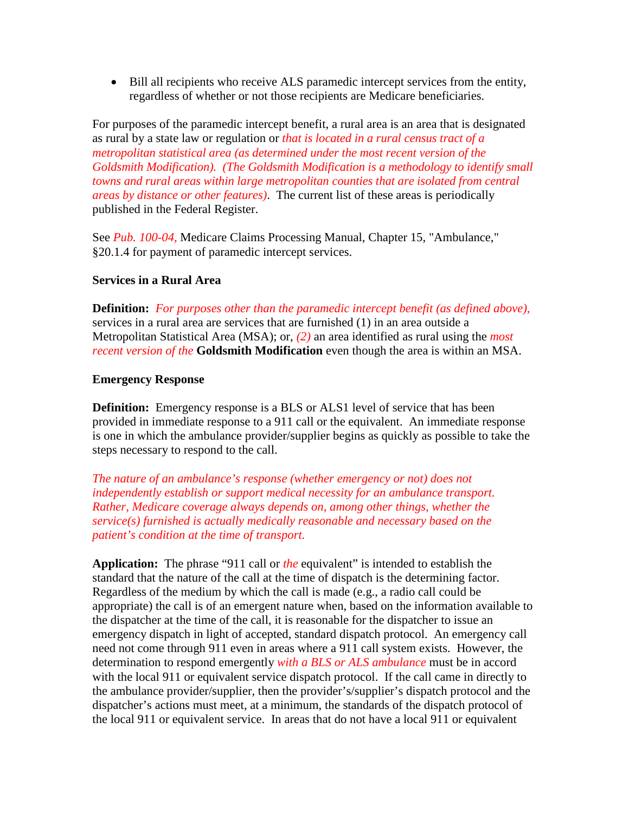• Bill all recipients who receive ALS paramedic intercept services from the entity, regardless of whether or not those recipients are Medicare beneficiaries.

For purposes of the paramedic intercept benefit, a rural area is an area that is designated as rural by a state law or regulation or *that is located in a rural census tract of a metropolitan statistical area (as determined under the most recent version of the Goldsmith Modification). (The Goldsmith Modification is a methodology to identify small towns and rural areas within large metropolitan counties that are isolated from central areas by distance or other features)*. The current list of these areas is periodically published in the Federal Register.

See *Pub. 100-04,* Medicare Claims Processing Manual, Chapter 15, "Ambulance," §20.1.4 for payment of paramedic intercept services.

#### **Services in a Rural Area**

**Definition:** *For purposes other than the paramedic intercept benefit (as defined above),* services in a rural area are services that are furnished (1) in an area outside a Metropolitan Statistical Area (MSA); or, *(2)* an area identified as rural using the *most recent version of the* Goldsmith Modification even though the area is within an MSA.

#### **Emergency Response**

**Definition:** Emergency response is a BLS or ALS1 level of service that has been provided in immediate response to a 911 call or the equivalent. An immediate response is one in which the ambulance provider/supplier begins as quickly as possible to take the steps necessary to respond to the call.

*The nature of an ambulance's response (whether emergency or not) does not independently establish or support medical necessity for an ambulance transport. Rather, Medicare coverage always depends on, among other things, whether the service(s) furnished is actually medically reasonable and necessary based on the patient's condition at the time of transport.*

**Application:** The phrase "911 call or *the* equivalent" is intended to establish the standard that the nature of the call at the time of dispatch is the determining factor. Regardless of the medium by which the call is made (e.g., a radio call could be appropriate) the call is of an emergent nature when, based on the information available to the dispatcher at the time of the call, it is reasonable for the dispatcher to issue an emergency dispatch in light of accepted, standard dispatch protocol. An emergency call need not come through 911 even in areas where a 911 call system exists. However, the determination to respond emergently *with a BLS or ALS ambulance* must be in accord with the local 911 or equivalent service dispatch protocol. If the call came in directly to the ambulance provider/supplier, then the provider's/supplier's dispatch protocol and the dispatcher's actions must meet, at a minimum, the standards of the dispatch protocol of the local 911 or equivalent service. In areas that do not have a local 911 or equivalent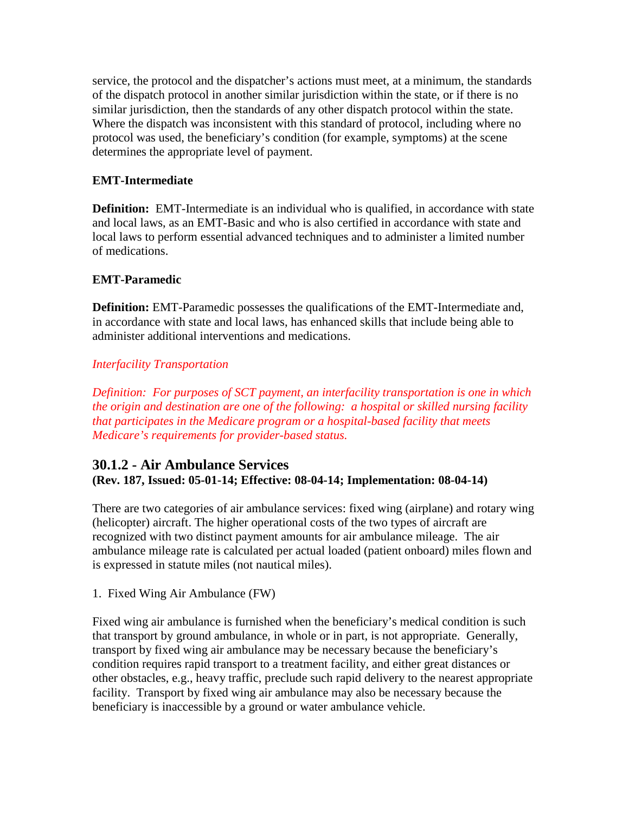service, the protocol and the dispatcher's actions must meet, at a minimum, the standards of the dispatch protocol in another similar jurisdiction within the state, or if there is no similar jurisdiction, then the standards of any other dispatch protocol within the state. Where the dispatch was inconsistent with this standard of protocol, including where no protocol was used, the beneficiary's condition (for example, symptoms) at the scene determines the appropriate level of payment.

### **EMT-Intermediate**

**Definition:** EMT-Intermediate is an individual who is qualified, in accordance with state and local laws, as an EMT-Basic and who is also certified in accordance with state and local laws to perform essential advanced techniques and to administer a limited number of medications.

### **EMT-Paramedic**

**Definition:** EMT-Paramedic possesses the qualifications of the EMT-Intermediate and, in accordance with state and local laws, has enhanced skills that include being able to administer additional interventions and medications.

# *Interfacility Transportation*

*Definition: For purposes of SCT payment, an interfacility transportation is one in which the origin and destination are one of the following: a hospital or skilled nursing facility that participates in the Medicare program or a hospital-based facility that meets Medicare's requirements for provider-based status.*

# <span id="page-29-0"></span>**30.1.2 - Air Ambulance Services (Rev. 187, Issued: 05-01-14; Effective: 08-04-14; Implementation: 08-04-14)**

There are two categories of air ambulance services: fixed wing (airplane) and rotary wing (helicopter) aircraft. The higher operational costs of the two types of aircraft are recognized with two distinct payment amounts for air ambulance mileage. The air ambulance mileage rate is calculated per actual loaded (patient onboard) miles flown and is expressed in statute miles (not nautical miles).

1. Fixed Wing Air Ambulance (FW)

Fixed wing air ambulance is furnished when the beneficiary's medical condition is such that transport by ground ambulance, in whole or in part, is not appropriate. Generally, transport by fixed wing air ambulance may be necessary because the beneficiary's condition requires rapid transport to a treatment facility, and either great distances or other obstacles, e.g., heavy traffic, preclude such rapid delivery to the nearest appropriate facility. Transport by fixed wing air ambulance may also be necessary because the beneficiary is inaccessible by a ground or water ambulance vehicle.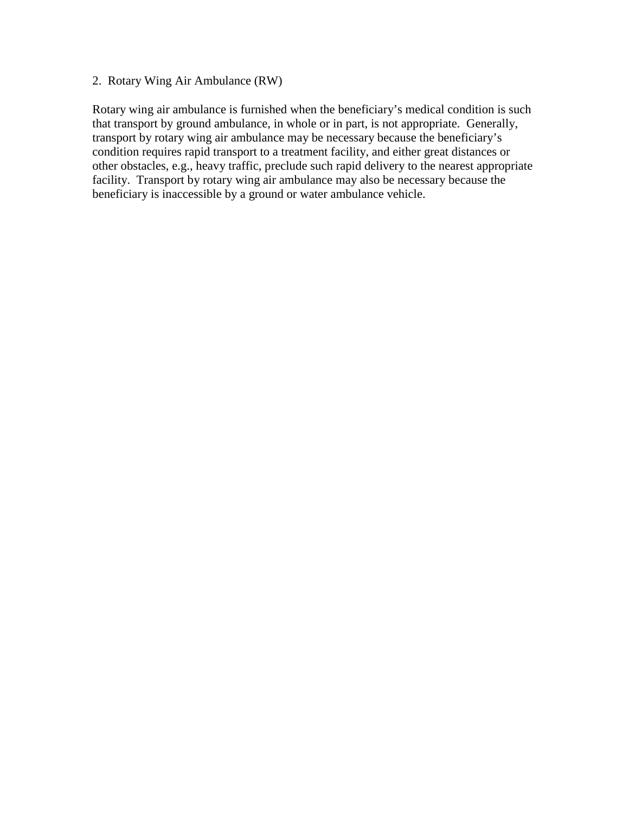#### 2. Rotary Wing Air Ambulance (RW)

Rotary wing air ambulance is furnished when the beneficiary's medical condition is such that transport by ground ambulance, in whole or in part, is not appropriate. Generally, transport by rotary wing air ambulance may be necessary because the beneficiary's condition requires rapid transport to a treatment facility, and either great distances or other obstacles, e.g., heavy traffic, preclude such rapid delivery to the nearest appropriate facility. Transport by rotary wing air ambulance may also be necessary because the beneficiary is inaccessible by a ground or water ambulance vehicle.